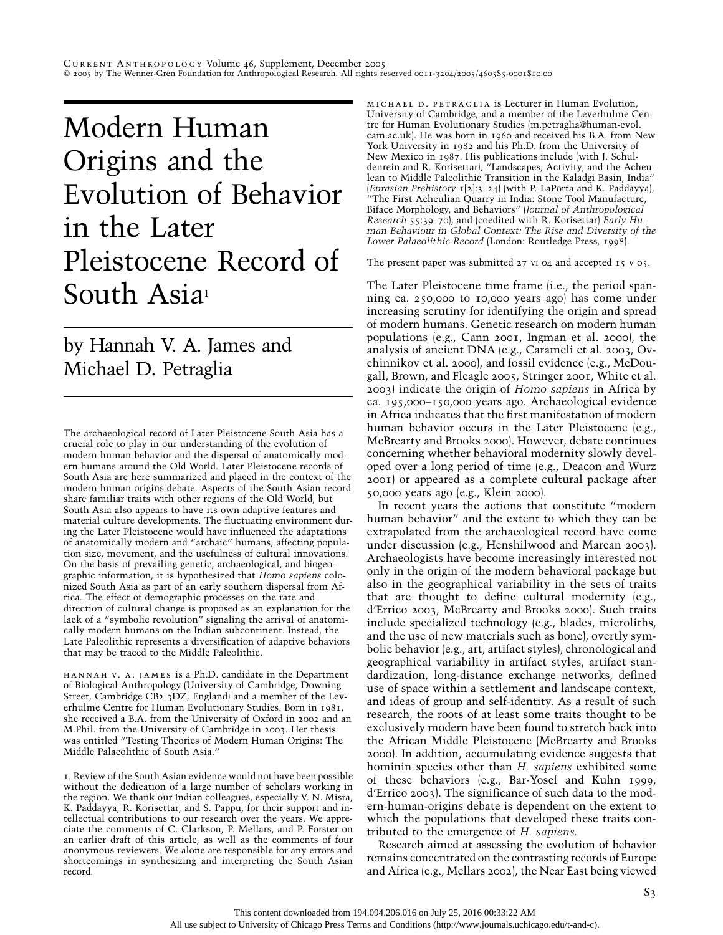# Modern Human Origins and the Evolution of Behavior in the Later Pleistocene Record of South Asia<sup>1</sup>

by Hannah V. A. James and Michael D. Petraglia

The archaeological record of Later Pleistocene South Asia has a crucial role to play in our understanding of the evolution of modern human behavior and the dispersal of anatomically modern humans around the Old World. Later Pleistocene records of South Asia are here summarized and placed in the context of the modern-human-origins debate. Aspects of the South Asian record share familiar traits with other regions of the Old World, but South Asia also appears to have its own adaptive features and material culture developments. The fluctuating environment during the Later Pleistocene would have influenced the adaptations of anatomically modern and "archaic" humans, affecting population size, movement, and the usefulness of cultural innovations. On the basis of prevailing genetic, archaeological, and biogeographic information, it is hypothesized that *Homo sapiens* colonized South Asia as part of an early southern dispersal from Africa. The effect of demographic processes on the rate and direction of cultural change is proposed as an explanation for the lack of a "symbolic revolution" signaling the arrival of anatomically modern humans on the Indian subcontinent. Instead, the Late Paleolithic represents a diversification of adaptive behaviors that may be traced to the Middle Paleolithic.

hannah v. a. james is a Ph.D. candidate in the Department of Biological Anthropology (University of Cambridge, Downing Street, Cambridge CB2 3DZ, England) and a member of the Leverhulme Centre for Human Evolutionary Studies. Born in 1981, she received a B.A. from the University of Oxford in 2002 and an M.Phil. from the University of Cambridge in 2003. Her thesis was entitled "Testing Theories of Modern Human Origins: The Middle Palaeolithic of South Asia."

1. Review of the South Asian evidence would not have been possible without the dedication of a large number of scholars working in the region. We thank our Indian colleagues, especially V. N. Misra, K. Paddayya, R. Korisettar, and S. Pappu, for their support and intellectual contributions to our research over the years. We appreciate the comments of C. Clarkson, P. Mellars, and P. Forster on an earlier draft of this article, as well as the comments of four anonymous reviewers. We alone are responsible for any errors and shortcomings in synthesizing and interpreting the South Asian record.

michael d. petraglia is Lecturer in Human Evolution, University of Cambridge, and a member of the Leverhulme Centre for Human Evolutionary Studies (m.petraglia@human-evol. cam.ac.uk). He was born in 1960 and received his B.A. from New York University in 1982 and his Ph.D. from the University of New Mexico in 1987. His publications include (with J. Schuldenrein and R. Korisettar), "Landscapes, Activity, and the Acheulean to Middle Paleolithic Transition in the Kaladgi Basin, India" (*Eurasian Prehistory* 1[2]:3–24) (with P. LaPorta and K. Paddayya), "The First Acheulian Quarry in India: Stone Tool Manufacture, Biface Morphology, and Behaviors" (*Journal of Anthropological Research* 55:39–70), and (coedited with R. Korisettar) *Early Human Behaviour in Global Context: The Rise and Diversity of the Lower Palaeolithic Record* (London: Routledge Press, 1998).

The present paper was submitted 27 vi 04 and accepted 15 v 05.

The Later Pleistocene time frame (i.e., the period spanning ca. 250,000 to 10,000 years ago) has come under increasing scrutiny for identifying the origin and spread of modern humans. Genetic research on modern human populations (e.g., Cann 2001, Ingman et al. 2000), the analysis of ancient DNA (e.g., Carameli et al. 2003, Ovchinnikov et al. 2000), and fossil evidence (e.g., McDougall, Brown, and Fleagle 2005, Stringer 2001, White et al. 2003) indicate the origin of *Homo sapiens* in Africa by ca. 195,000–150,000 years ago. Archaeological evidence in Africa indicates that the first manifestation of modern human behavior occurs in the Later Pleistocene (e.g., McBrearty and Brooks 2000). However, debate continues concerning whether behavioral modernity slowly developed over a long period of time (e.g., Deacon and Wurz 2001) or appeared as a complete cultural package after 50,000 years ago (e.g., Klein 2000).

In recent years the actions that constitute "modern human behavior" and the extent to which they can be extrapolated from the archaeological record have come under discussion (e.g., Henshilwood and Marean 2003). Archaeologists have become increasingly interested not only in the origin of the modern behavioral package but also in the geographical variability in the sets of traits that are thought to define cultural modernity (e.g., d'Errico 2003, McBrearty and Brooks 2000). Such traits include specialized technology (e.g., blades, microliths, and the use of new materials such as bone), overtly symbolic behavior (e.g., art, artifact styles), chronological and geographical variability in artifact styles, artifact standardization, long-distance exchange networks, defined use of space within a settlement and landscape context, and ideas of group and self-identity. As a result of such research, the roots of at least some traits thought to be exclusively modern have been found to stretch back into the African Middle Pleistocene (McBrearty and Brooks 2000). In addition, accumulating evidence suggests that hominin species other than *H. sapiens* exhibited some of these behaviors (e.g., Bar-Yosef and Kuhn 1999, d'Errico 2003). The significance of such data to the modern-human-origins debate is dependent on the extent to which the populations that developed these traits contributed to the emergence of *H. sapiens.*

Research aimed at assessing the evolution of behavior remains concentrated on the contrasting records of Europe and Africa (e.g., Mellars 2002), the Near East being viewed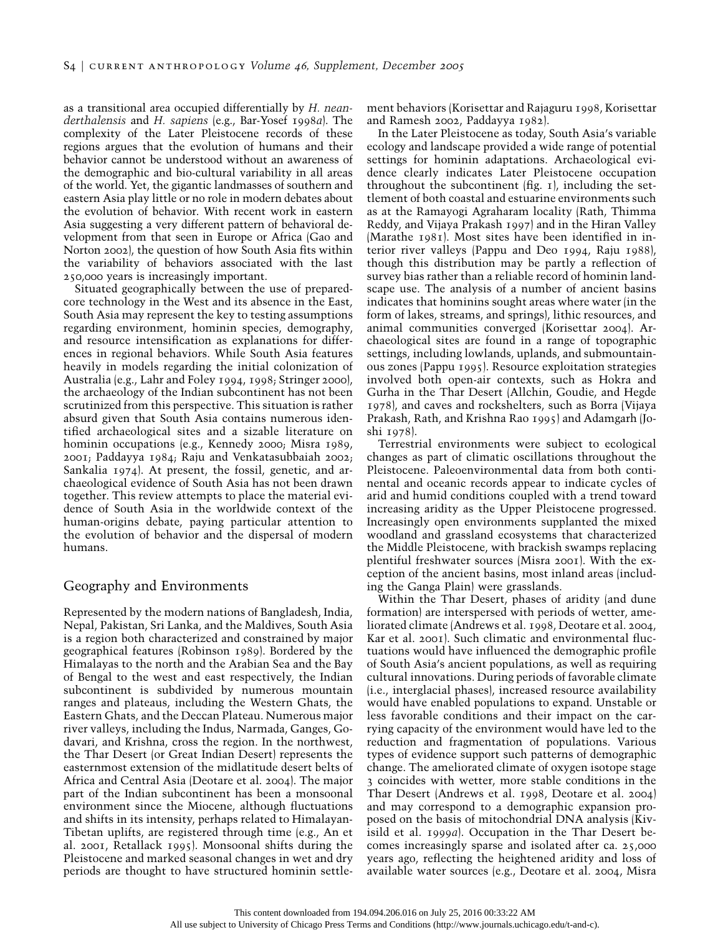as a transitional area occupied differentially by *H. neanderthalensis* and *H. sapiens* (e.g., Bar-Yosef 1998*a*). The complexity of the Later Pleistocene records of these regions argues that the evolution of humans and their behavior cannot be understood without an awareness of the demographic and bio-cultural variability in all areas of the world. Yet, the gigantic landmasses of southern and eastern Asia play little or no role in modern debates about the evolution of behavior. With recent work in eastern Asia suggesting a very different pattern of behavioral development from that seen in Europe or Africa (Gao and Norton 2002), the question of how South Asia fits within the variability of behaviors associated with the last 250,000 years is increasingly important.

Situated geographically between the use of preparedcore technology in the West and its absence in the East, South Asia may represent the key to testing assumptions regarding environment, hominin species, demography, and resource intensification as explanations for differences in regional behaviors. While South Asia features heavily in models regarding the initial colonization of Australia (e.g., Lahr and Foley 1994, 1998; Stringer 2000), the archaeology of the Indian subcontinent has not been scrutinized from this perspective. This situation is rather absurd given that South Asia contains numerous identified archaeological sites and a sizable literature on hominin occupations (e.g., Kennedy 2000; Misra 1989, 2001; Paddayya 1984; Raju and Venkatasubbaiah 2002; Sankalia 1974). At present, the fossil, genetic, and archaeological evidence of South Asia has not been drawn together. This review attempts to place the material evidence of South Asia in the worldwide context of the human-origins debate, paying particular attention to the evolution of behavior and the dispersal of modern humans.

### Geography and Environments

Represented by the modern nations of Bangladesh, India, Nepal, Pakistan, Sri Lanka, and the Maldives, South Asia is a region both characterized and constrained by major geographical features (Robinson 1989). Bordered by the Himalayas to the north and the Arabian Sea and the Bay of Bengal to the west and east respectively, the Indian subcontinent is subdivided by numerous mountain ranges and plateaus, including the Western Ghats, the Eastern Ghats, and the Deccan Plateau. Numerous major river valleys, including the Indus, Narmada, Ganges, Godavari, and Krishna, cross the region. In the northwest, the Thar Desert (or Great Indian Desert) represents the easternmost extension of the midlatitude desert belts of Africa and Central Asia (Deotare et al. 2004). The major part of the Indian subcontinent has been a monsoonal environment since the Miocene, although fluctuations and shifts in its intensity, perhaps related to Himalayan-Tibetan uplifts, are registered through time (e.g., An et al. 2001, Retallack 1995). Monsoonal shifts during the Pleistocene and marked seasonal changes in wet and dry periods are thought to have structured hominin settlement behaviors (Korisettar and Rajaguru 1998, Korisettar and Ramesh 2002, Paddayya 1982).

In the Later Pleistocene as today, South Asia's variable ecology and landscape provided a wide range of potential settings for hominin adaptations. Archaeological evidence clearly indicates Later Pleistocene occupation throughout the subcontinent (fig. 1), including the settlement of both coastal and estuarine environments such as at the Ramayogi Agraharam locality (Rath, Thimma Reddy, and Vijaya Prakash 1997) and in the Hiran Valley (Marathe 1981). Most sites have been identified in interior river valleys (Pappu and Deo 1994, Raju 1988), though this distribution may be partly a reflection of survey bias rather than a reliable record of hominin landscape use. The analysis of a number of ancient basins indicates that hominins sought areas where water (in the form of lakes, streams, and springs), lithic resources, and animal communities converged (Korisettar 2004). Archaeological sites are found in a range of topographic settings, including lowlands, uplands, and submountainous zones (Pappu 1995). Resource exploitation strategies involved both open-air contexts, such as Hokra and Gurha in the Thar Desert (Allchin, Goudie, and Hegde 1978), and caves and rockshelters, such as Borra (Vijaya Prakash, Rath, and Krishna Rao 1995) and Adamgarh (Joshi 1978).

Terrestrial environments were subject to ecological changes as part of climatic oscillations throughout the Pleistocene. Paleoenvironmental data from both continental and oceanic records appear to indicate cycles of arid and humid conditions coupled with a trend toward increasing aridity as the Upper Pleistocene progressed. Increasingly open environments supplanted the mixed woodland and grassland ecosystems that characterized the Middle Pleistocene, with brackish swamps replacing plentiful freshwater sources (Misra 2001). With the exception of the ancient basins, most inland areas (including the Ganga Plain) were grasslands.

Within the Thar Desert, phases of aridity (and dune formation) are interspersed with periods of wetter, ameliorated climate (Andrews et al. 1998, Deotare et al. 2004, Kar et al. 2001). Such climatic and environmental fluctuations would have influenced the demographic profile of South Asia's ancient populations, as well as requiring cultural innovations. During periods of favorable climate (i.e., interglacial phases), increased resource availability would have enabled populations to expand. Unstable or less favorable conditions and their impact on the carrying capacity of the environment would have led to the reduction and fragmentation of populations. Various types of evidence support such patterns of demographic change. The ameliorated climate of oxygen isotope stage 3 coincides with wetter, more stable conditions in the Thar Desert (Andrews et al. 1998, Deotare et al. 2004) and may correspond to a demographic expansion proposed on the basis of mitochondrial DNA analysis (Kivisild et al. 1999*a*). Occupation in the Thar Desert becomes increasingly sparse and isolated after ca. 25,000 years ago, reflecting the heightened aridity and loss of available water sources (e.g., Deotare et al. 2004, Misra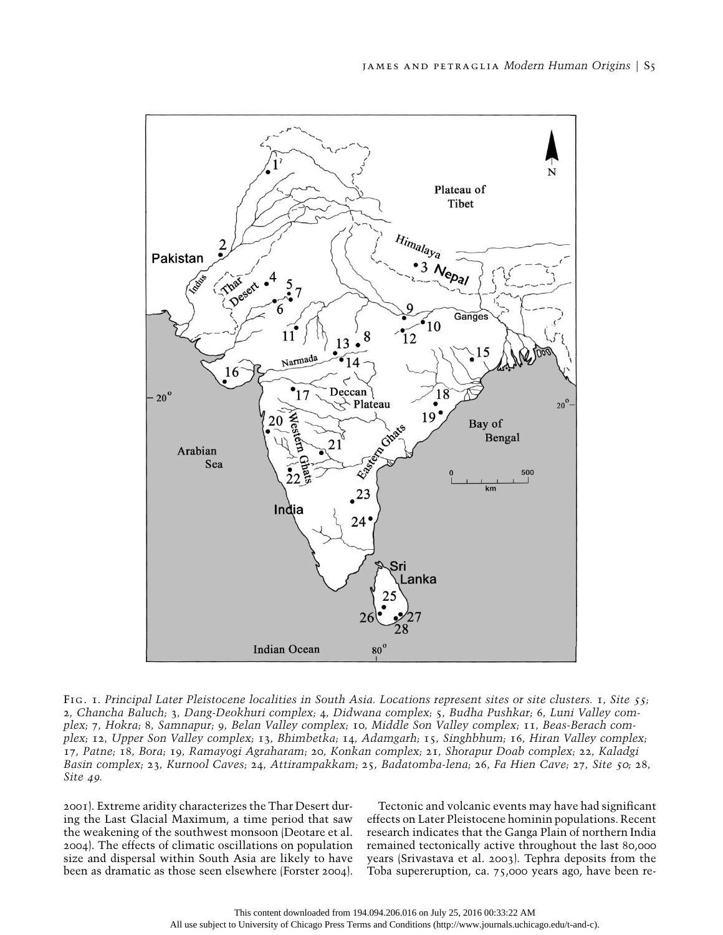

Fig. 1. *Principal Later Pleistocene localities in South Asia. Locations represent sites or site clusters.* 1*, Site* <sup>55</sup>*;* 2*, Chancha Baluch;* 3*, Dang-Deokhuri complex;* 4*, Didwana complex;* 5*, Budha Pushkar;* 6*, Luni Valley complex;* 7*, Hokra;* 8*, Samnapur;* 9*, Belan Valley complex;* 10*, Middle Son Valley complex;* 11*, Beas-Berach complex;* 12*, Upper Son Valley complex;* 13*, Bhimbetka;* 14*, Adamgarh;* 15*, Singhbhum;* 16*, Hiran Valley complex;* 17*, Patne;* 18*, Bora;* 19*, Ramayogi Agraharam;* 20*, Konkan complex;* 21*, Shorapur Doab complex;* 22*, Kaladgi Basin complex;* 23*, Kurnool Caves;* 24*, Attirampakkam;* 25*, Badatomba-lena;* 26*, Fa Hien Cave;* 27*, Site* <sup>50</sup>*;* 28*, Site* 49*.*

2001). Extreme aridity characterizes the Thar Desert during the Last Glacial Maximum, a time period that saw the weakening of the southwest monsoon (Deotare et al. 2004). The effects of climatic oscillations on population size and dispersal within South Asia are likely to have been as dramatic as those seen elsewhere (Forster 2004).

Tectonic and volcanic events may have had significant effects on Later Pleistocene hominin populations. Recent research indicates that the Ganga Plain of northern India remained tectonically active throughout the last 80,000 years (Srivastava et al. 2003). Tephra deposits from the Toba supereruption, ca. 75,000 years ago, have been re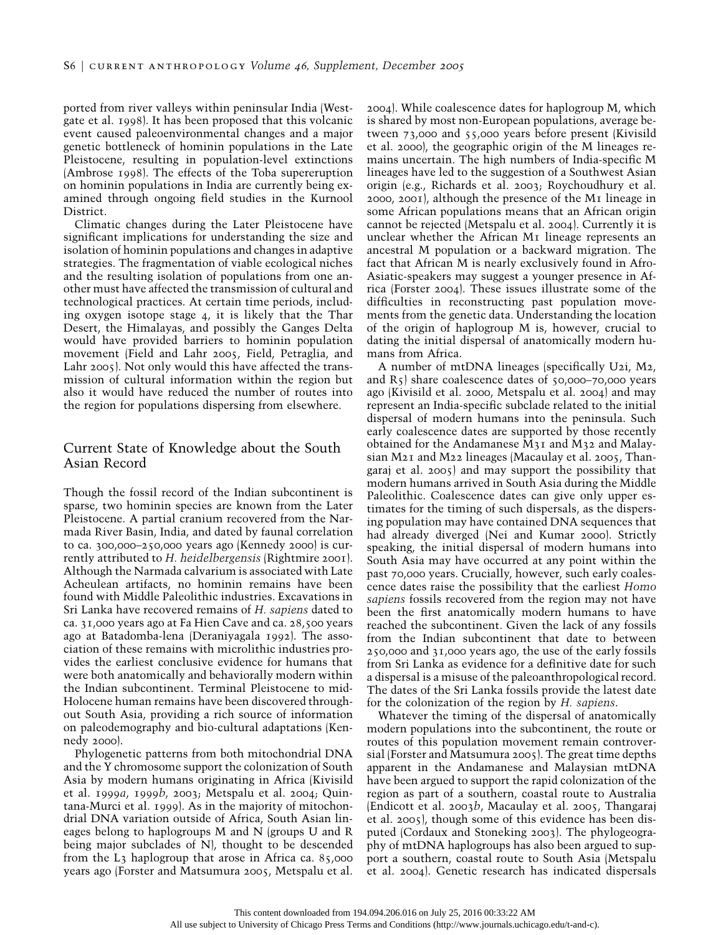ported from river valleys within peninsular India (Westgate et al. 1998). It has been proposed that this volcanic event caused paleoenvironmental changes and a major genetic bottleneck of hominin populations in the Late Pleistocene, resulting in population-level extinctions (Ambrose 1998). The effects of the Toba supereruption on hominin populations in India are currently being examined through ongoing field studies in the Kurnool District.

Climatic changes during the Later Pleistocene have significant implications for understanding the size and isolation of hominin populations and changes in adaptive strategies. The fragmentation of viable ecological niches and the resulting isolation of populations from one another must have affected the transmission of cultural and technological practices. At certain time periods, including oxygen isotope stage 4, it is likely that the Thar Desert, the Himalayas, and possibly the Ganges Delta would have provided barriers to hominin population movement (Field and Lahr 2005, Field, Petraglia, and Lahr 2005). Not only would this have affected the transmission of cultural information within the region but also it would have reduced the number of routes into the region for populations dispersing from elsewhere.

## Current State of Knowledge about the South Asian Record

Though the fossil record of the Indian subcontinent is sparse, two hominin species are known from the Later Pleistocene. A partial cranium recovered from the Narmada River Basin, India, and dated by faunal correlation to ca. 300,000–250,000 years ago (Kennedy 2000) is currently attributed to *H. heidelbergensis* (Rightmire 2001). Although the Narmada calvarium is associated with Late Acheulean artifacts, no hominin remains have been found with Middle Paleolithic industries. Excavations in Sri Lanka have recovered remains of *H. sapiens* dated to ca. 31,000 years ago at Fa Hien Cave and ca. 28,500 years ago at Batadomba-lena (Deraniyagala 1992). The association of these remains with microlithic industries provides the earliest conclusive evidence for humans that were both anatomically and behaviorally modern within the Indian subcontinent. Terminal Pleistocene to mid-Holocene human remains have been discovered throughout South Asia, providing a rich source of information on paleodemography and bio-cultural adaptations (Kennedy 2000).

Phylogenetic patterns from both mitochondrial DNA and the Y chromosome support the colonization of South Asia by modern humans originating in Africa (Kivisild et al. 1999*a*, 1999*b*, 2003; Metspalu et al. 2004; Quintana-Murci et al. 1999). As in the majority of mitochondrial DNA variation outside of Africa, South Asian lineages belong to haplogroups M and N (groups U and R being major subclades of N), thought to be descended from the L3 haplogroup that arose in Africa ca. 85,000 years ago (Forster and Matsumura 2005, Metspalu et al.

2004). While coalescence dates for haplogroup M, which is shared by most non-European populations, average between 73,000 and 55,000 years before present (Kivisild et al. 2000), the geographic origin of the M lineages remains uncertain. The high numbers of India-specific M lineages have led to the suggestion of a Southwest Asian origin (e.g., Richards et al. 2003; Roychoudhury et al. 2000, 2001), although the presence of the M1 lineage in some African populations means that an African origin cannot be rejected (Metspalu et al. 2004). Currently it is unclear whether the African M1 lineage represents an ancestral M population or a backward migration. The fact that African M is nearly exclusively found in Afro-Asiatic-speakers may suggest a younger presence in Africa (Forster 2004). These issues illustrate some of the difficulties in reconstructing past population movements from the genetic data. Understanding the location of the origin of haplogroup M is, however, crucial to dating the initial dispersal of anatomically modern humans from Africa.

A number of mtDNA lineages (specifically U2i, M2, and  $R_5$ ) share coalescence dates of  $50,000-70,000$  years ago (Kivisild et al. 2000, Metspalu et al. 2004) and may represent an India-specific subclade related to the initial dispersal of modern humans into the peninsula. Such early coalescence dates are supported by those recently obtained for the Andamanese M31 and M32 and Malaysian M21 and M22 lineages (Macaulay et al. 2005, Thangaraj et al. 2005) and may support the possibility that modern humans arrived in South Asia during the Middle Paleolithic. Coalescence dates can give only upper estimates for the timing of such dispersals, as the dispersing population may have contained DNA sequences that had already diverged (Nei and Kumar 2000). Strictly speaking, the initial dispersal of modern humans into South Asia may have occurred at any point within the past 70,000 years. Crucially, however, such early coalescence dates raise the possibility that the earliest *Homo sapiens* fossils recovered from the region may not have been the first anatomically modern humans to have reached the subcontinent. Given the lack of any fossils from the Indian subcontinent that date to between 250,000 and 31,000 years ago, the use of the early fossils from Sri Lanka as evidence for a definitive date for such a dispersal is a misuse of the paleoanthropological record. The dates of the Sri Lanka fossils provide the latest date for the colonization of the region by *H. sapiens*.

Whatever the timing of the dispersal of anatomically modern populations into the subcontinent, the route or routes of this population movement remain controversial (Forster and Matsumura 2005). The great time depths apparent in the Andamanese and Malaysian mtDNA have been argued to support the rapid colonization of the region as part of a southern, coastal route to Australia (Endicott et al. 2003*b*, Macaulay et al. 2005, Thangaraj et al. 2005), though some of this evidence has been disputed (Cordaux and Stoneking 2003). The phylogeography of mtDNA haplogroups has also been argued to support a southern, coastal route to South Asia (Metspalu et al. 2004). Genetic research has indicated dispersals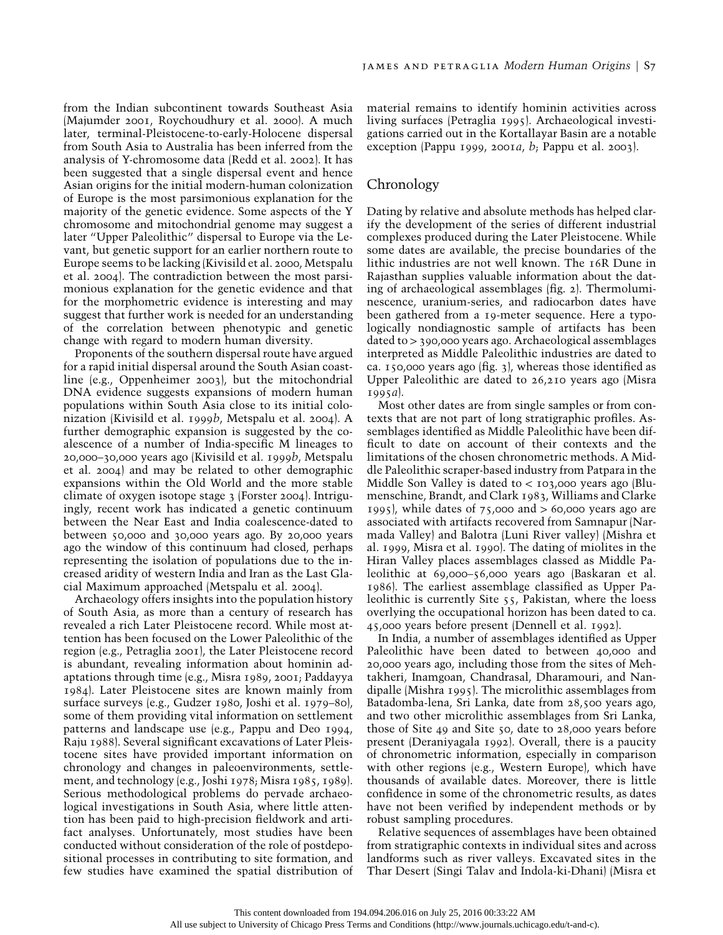from the Indian subcontinent towards Southeast Asia (Majumder 2001, Roychoudhury et al. 2000). A much later, terminal-Pleistocene-to-early-Holocene dispersal from South Asia to Australia has been inferred from the analysis of Y-chromosome data (Redd et al. 2002). It has been suggested that a single dispersal event and hence Asian origins for the initial modern-human colonization of Europe is the most parsimonious explanation for the majority of the genetic evidence. Some aspects of the Y chromosome and mitochondrial genome may suggest a later "Upper Paleolithic" dispersal to Europe via the Levant, but genetic support for an earlier northern route to Europe seems to be lacking (Kivisild et al. 2000, Metspalu et al. 2004). The contradiction between the most parsimonious explanation for the genetic evidence and that for the morphometric evidence is interesting and may suggest that further work is needed for an understanding of the correlation between phenotypic and genetic change with regard to modern human diversity.

Proponents of the southern dispersal route have argued for a rapid initial dispersal around the South Asian coastline (e.g., Oppenheimer 2003), but the mitochondrial DNA evidence suggests expansions of modern human populations within South Asia close to its initial colonization (Kivisild et al. 1999*b*, Metspalu et al. 2004). A further demographic expansion is suggested by the coalescence of a number of India-specific M lineages to 20,000–30,000 years ago (Kivisild et al. 1999*b*, Metspalu et al. 2004) and may be related to other demographic expansions within the Old World and the more stable climate of oxygen isotope stage 3 (Forster 2004). Intriguingly, recent work has indicated a genetic continuum between the Near East and India coalescence-dated to between 50,000 and 30,000 years ago. By 20,000 years ago the window of this continuum had closed, perhaps representing the isolation of populations due to the increased aridity of western India and Iran as the Last Glacial Maximum approached (Metspalu et al. 2004).

Archaeology offers insights into the population history of South Asia, as more than a century of research has revealed a rich Later Pleistocene record. While most attention has been focused on the Lower Paleolithic of the region (e.g., Petraglia 2001), the Later Pleistocene record is abundant, revealing information about hominin adaptations through time (e.g., Misra 1989, 2001; Paddayya 1984). Later Pleistocene sites are known mainly from surface surveys (e.g., Gudzer 1980, Joshi et al. 1979–80), some of them providing vital information on settlement patterns and landscape use (e.g., Pappu and Deo 1994, Raju 1988). Several significant excavations of Later Pleistocene sites have provided important information on chronology and changes in paleoenvironments, settlement, and technology (e.g., Joshi 1978; Misra 1985, 1989). Serious methodological problems do pervade archaeological investigations in South Asia, where little attention has been paid to high-precision fieldwork and artifact analyses. Unfortunately, most studies have been conducted without consideration of the role of postdepositional processes in contributing to site formation, and few studies have examined the spatial distribution of material remains to identify hominin activities across living surfaces (Petraglia 1995). Archaeological investigations carried out in the Kortallayar Basin are a notable exception (Pappu 1999, 2001*a*, *b*; Pappu et al. 2003).

## **Chronology**

Dating by relative and absolute methods has helped clarify the development of the series of different industrial complexes produced during the Later Pleistocene. While some dates are available, the precise boundaries of the lithic industries are not well known. The 16R Dune in Rajasthan supplies valuable information about the dating of archaeological assemblages (fig. 2). Thermoluminescence, uranium-series, and radiocarbon dates have been gathered from a 19-meter sequence. Here a typologically nondiagnostic sample of artifacts has been dated to  $>$  390,000 years ago. Archaeological assemblages interpreted as Middle Paleolithic industries are dated to ca. 150,000 years ago (fig. 3), whereas those identified as Upper Paleolithic are dated to 26,210 years ago (Misra 1995*a*).

Most other dates are from single samples or from contexts that are not part of long stratigraphic profiles. Assemblages identified as Middle Paleolithic have been difficult to date on account of their contexts and the limitations of the chosen chronometric methods. A Middle Paleolithic scraper-based industry from Patpara in the Middle Son Valley is dated to  $< 103,000$  years ago (Blumenschine, Brandt, and Clark 1983, Williams and Clarke 1995), while dates of  $75,000$  and  $> 60,000$  years ago are associated with artifacts recovered from Samnapur (Narmada Valley) and Balotra (Luni River valley) (Mishra et al. 1999, Misra et al. 1990). The dating of miolites in the Hiran Valley places assemblages classed as Middle Paleolithic at 69,000–56,000 years ago (Baskaran et al. 1986). The earliest assemblage classified as Upper Paleolithic is currently Site 55, Pakistan, where the loess overlying the occupational horizon has been dated to ca. 45,000 years before present (Dennell et al. 1992).

In India, a number of assemblages identified as Upper Paleolithic have been dated to between 40,000 and 20,000 years ago, including those from the sites of Mehtakheri, Inamgoan, Chandrasal, Dharamouri, and Nandipalle (Mishra 1995). The microlithic assemblages from Batadomba-lena, Sri Lanka, date from 28,500 years ago, and two other microlithic assemblages from Sri Lanka, those of Site 49 and Site 50, date to 28,000 years before present (Deraniyagala 1992). Overall, there is a paucity of chronometric information, especially in comparison with other regions (e.g., Western Europe), which have thousands of available dates. Moreover, there is little confidence in some of the chronometric results, as dates have not been verified by independent methods or by robust sampling procedures.

Relative sequences of assemblages have been obtained from stratigraphic contexts in individual sites and across landforms such as river valleys. Excavated sites in the Thar Desert (Singi Talav and Indola-ki-Dhani) (Misra et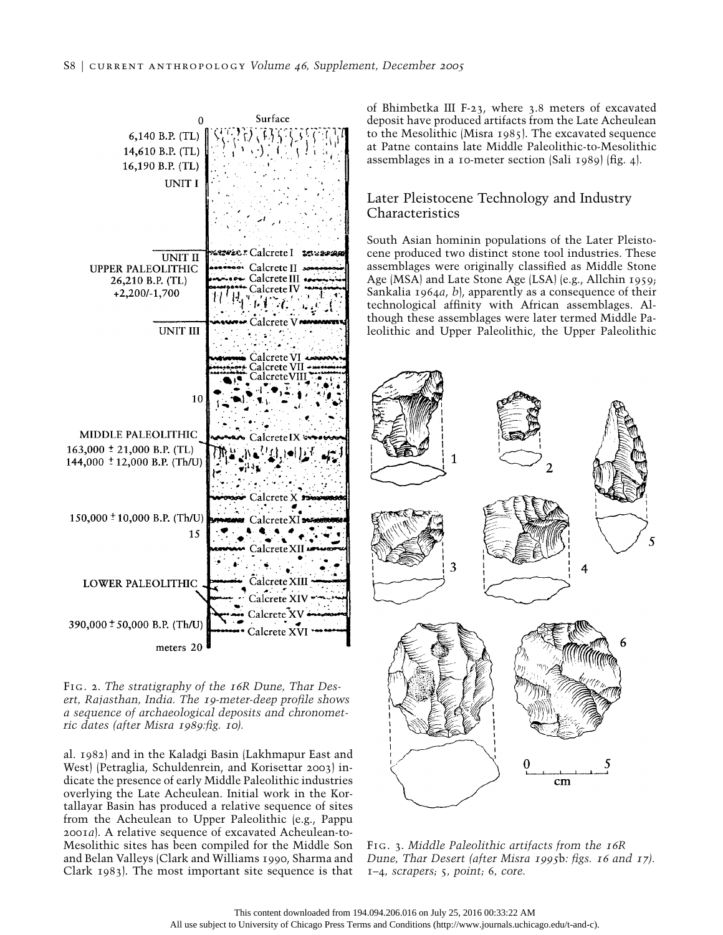

Fig. 2. *The stratigraphy of the* <sup>16</sup>*R Dune, Thar Desert, Rajasthan, India. The* <sup>19</sup>*-meter-deep profile shows a sequence of archaeological deposits and chronometric dates (after Misra* 1989*:fig.* <sup>10</sup>*).*

al. 1982) and in the Kaladgi Basin (Lakhmapur East and West) (Petraglia, Schuldenrein, and Korisettar 2003) indicate the presence of early Middle Paleolithic industries overlying the Late Acheulean. Initial work in the Kortallayar Basin has produced a relative sequence of sites from the Acheulean to Upper Paleolithic (e.g., Pappu 2001*a*). A relative sequence of excavated Acheulean-to-Mesolithic sites has been compiled for the Middle Son and Belan Valleys (Clark and Williams 1990, Sharma and Clark 1983). The most important site sequence is that of Bhimbetka III F-23, where 3.8 meters of excavated deposit have produced artifacts from the Late Acheulean to the Mesolithic (Misra 1985). The excavated sequence at Patne contains late Middle Paleolithic-to-Mesolithic assemblages in a 10-meter section (Sali 1989) (fig. 4).

# Later Pleistocene Technology and Industry Characteristics

South Asian hominin populations of the Later Pleistocene produced two distinct stone tool industries. These assemblages were originally classified as Middle Stone Age (MSA) and Late Stone Age (LSA) (e.g., Allchin 1959; Sankalia 1964*a*, *b*), apparently as a consequence of their technological affinity with African assemblages. Although these assemblages were later termed Middle Paleolithic and Upper Paleolithic, the Upper Paleolithic



Fig. 3. *Middle Paleolithic artifacts from the* <sup>16</sup>*R Dune, Thar Desert (after Misra* <sup>1995</sup>b*: figs.* <sup>16</sup> *and* <sup>17</sup>*).* 1*–*4*, scrapers;* 5*, point;* 6*, core.*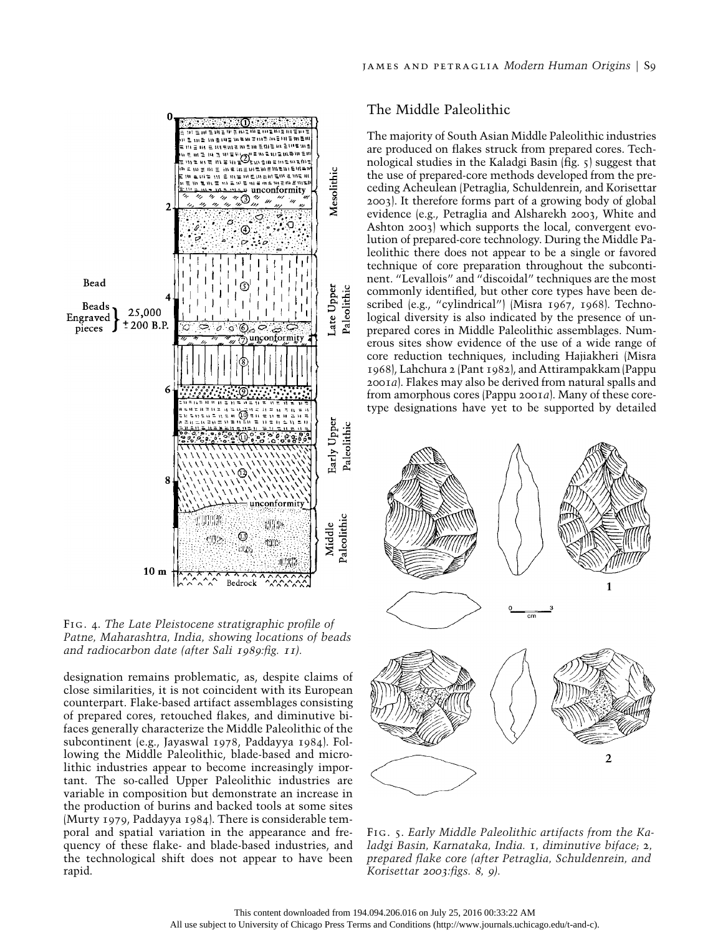

Fig. 4. *The Late Pleistocene stratigraphic profile of Patne, Maharashtra, India, showing locations of beads and radiocarbon date (after Sali* 1989*:fig.* <sup>11</sup>*).*

designation remains problematic, as, despite claims of close similarities, it is not coincident with its European counterpart. Flake-based artifact assemblages consisting of prepared cores, retouched flakes, and diminutive bifaces generally characterize the Middle Paleolithic of the subcontinent (e.g., Jayaswal 1978, Paddayya 1984). Following the Middle Paleolithic, blade-based and microlithic industries appear to become increasingly important. The so-called Upper Paleolithic industries are variable in composition but demonstrate an increase in the production of burins and backed tools at some sites (Murty 1979, Paddayya 1984). There is considerable temporal and spatial variation in the appearance and frequency of these flake- and blade-based industries, and the technological shift does not appear to have been rapid.

# The Middle Paleolithic

The majority of South Asian Middle Paleolithic industries are produced on flakes struck from prepared cores. Technological studies in the Kaladgi Basin (fig. 5) suggest that the use of prepared-core methods developed from the preceding Acheulean (Petraglia, Schuldenrein, and Korisettar 2003). It therefore forms part of a growing body of global evidence (e.g., Petraglia and Alsharekh 2003, White and Ashton 2003) which supports the local, convergent evolution of prepared-core technology. During the Middle Paleolithic there does not appear to be a single or favored technique of core preparation throughout the subcontinent. "Levallois" and "discoidal" techniques are the most commonly identified, but other core types have been described (e.g., "cylindrical") (Misra 1967, 1968). Technological diversity is also indicated by the presence of unprepared cores in Middle Paleolithic assemblages. Numerous sites show evidence of the use of a wide range of core reduction techniques, including Hajiakheri (Misra 1968), Lahchura 2 (Pant 1982), and Attirampakkam (Pappu 2001*a*). Flakes may also be derived from natural spalls and from amorphous cores (Pappu 2001*a*). Many of these coretype designations have yet to be supported by detailed



Fig. 5. *Early Middle Paleolithic artifacts from the Kaladgi Basin, Karnataka, India.* 1*, diminutive biface;* 2*, prepared flake core (after Petraglia, Schuldenrein, and Korisettar* <sup>2003</sup>*:figs.* <sup>8</sup>*,* <sup>9</sup>*).*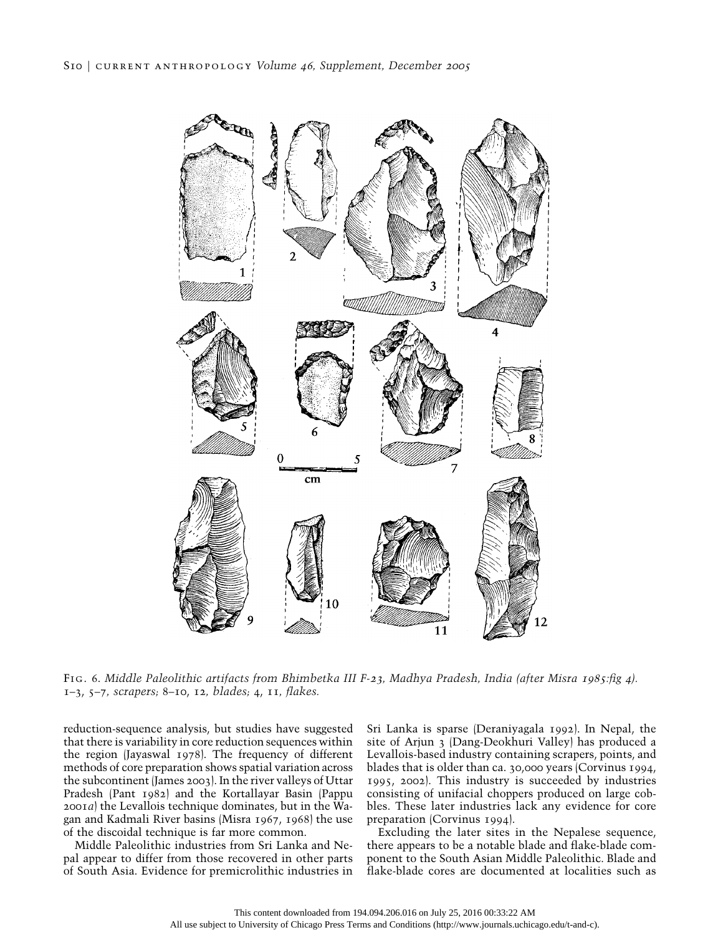

Fig. 6. *Middle Paleolithic artifacts from Bhimbetka III F-*23*, Madhya Pradesh, India (after Misra* 1985*:fig* <sup>4</sup>*).* 1–3, 5–7*, scrapers;* 8–10, 12*, blades;* 4, 11*, flakes.*

reduction-sequence analysis, but studies have suggested that there is variability in core reduction sequences within the region (Jayaswal 1978). The frequency of different methods of core preparation shows spatial variation across the subcontinent (James 2003). In the river valleys of Uttar Pradesh (Pant 1982) and the Kortallayar Basin (Pappu 2001*a*) the Levallois technique dominates, but in the Wagan and Kadmali River basins (Misra 1967, 1968) the use of the discoidal technique is far more common.

Middle Paleolithic industries from Sri Lanka and Nepal appear to differ from those recovered in other parts of South Asia. Evidence for premicrolithic industries in Sri Lanka is sparse (Deraniyagala 1992). In Nepal, the site of Arjun 3 (Dang-Deokhuri Valley) has produced a Levallois-based industry containing scrapers, points, and blades that is older than ca. 30,000 years (Corvinus 1994, 1995, 2002). This industry is succeeded by industries consisting of unifacial choppers produced on large cobbles. These later industries lack any evidence for core preparation (Corvinus 1994).

Excluding the later sites in the Nepalese sequence, there appears to be a notable blade and flake-blade component to the South Asian Middle Paleolithic. Blade and flake-blade cores are documented at localities such as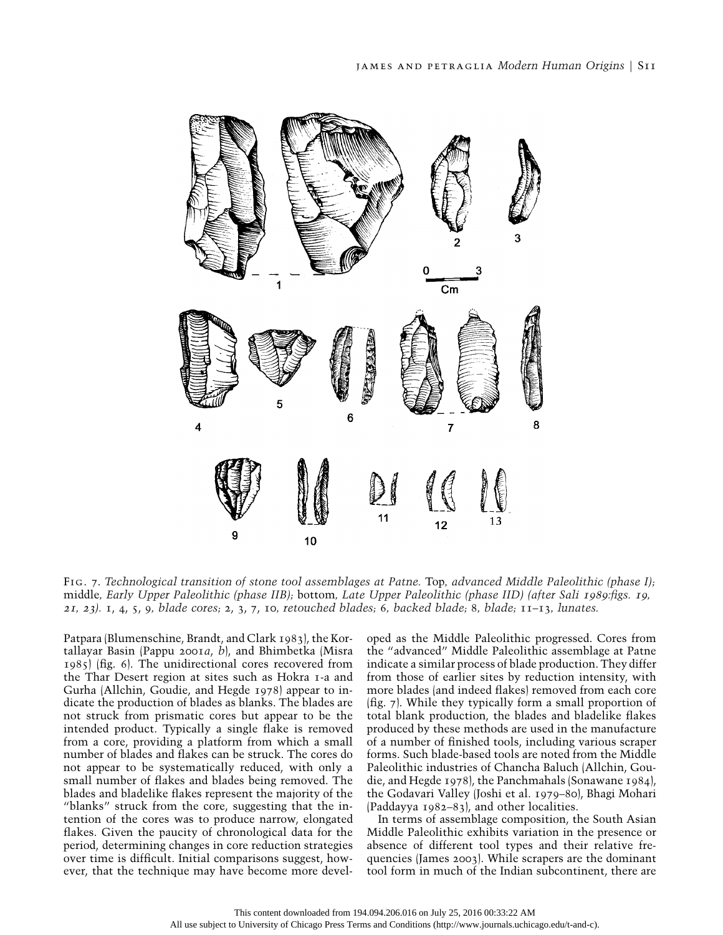

Fig. 7. *Technological transition of stone tool assemblages at Patne.* Top*, advanced Middle Paleolithic (phase I);* middle*, Early Upper Paleolithic (phase IIB);* bottom*, Late Upper Paleolithic (phase IID) (after Sali* 1989*:figs.* <sup>19</sup>*,* <sup>21</sup>*,* <sup>23</sup>*).* 1, 4, 5, 9*, blade cores;* 2, 3, 7, 10*, retouched blades;* 6*, backed blade;* 8*, blade;* 11–13*, lunates.*

Patpara (Blumenschine, Brandt, and Clark 1983), the Kortallayar Basin (Pappu 2001*a*, *b*), and Bhimbetka (Misra 1985) (fig. 6). The unidirectional cores recovered from the Thar Desert region at sites such as Hokra 1-a and Gurha (Allchin, Goudie, and Hegde 1978) appear to indicate the production of blades as blanks. The blades are not struck from prismatic cores but appear to be the intended product. Typically a single flake is removed from a core, providing a platform from which a small number of blades and flakes can be struck. The cores do not appear to be systematically reduced, with only a small number of flakes and blades being removed. The blades and bladelike flakes represent the majority of the "blanks" struck from the core, suggesting that the intention of the cores was to produce narrow, elongated flakes. Given the paucity of chronological data for the period, determining changes in core reduction strategies over time is difficult. Initial comparisons suggest, however, that the technique may have become more developed as the Middle Paleolithic progressed. Cores from the "advanced" Middle Paleolithic assemblage at Patne indicate a similar process of blade production. They differ from those of earlier sites by reduction intensity, with more blades (and indeed flakes) removed from each core (fig. 7). While they typically form a small proportion of total blank production, the blades and bladelike flakes produced by these methods are used in the manufacture of a number of finished tools, including various scraper forms. Such blade-based tools are noted from the Middle Paleolithic industries of Chancha Baluch (Allchin, Goudie, and Hegde 1978), the Panchmahals (Sonawane 1984), the Godavari Valley (Joshi et al. 1979–80), Bhagi Mohari (Paddayya 1982–83), and other localities.

In terms of assemblage composition, the South Asian Middle Paleolithic exhibits variation in the presence or absence of different tool types and their relative frequencies (James 2003). While scrapers are the dominant tool form in much of the Indian subcontinent, there are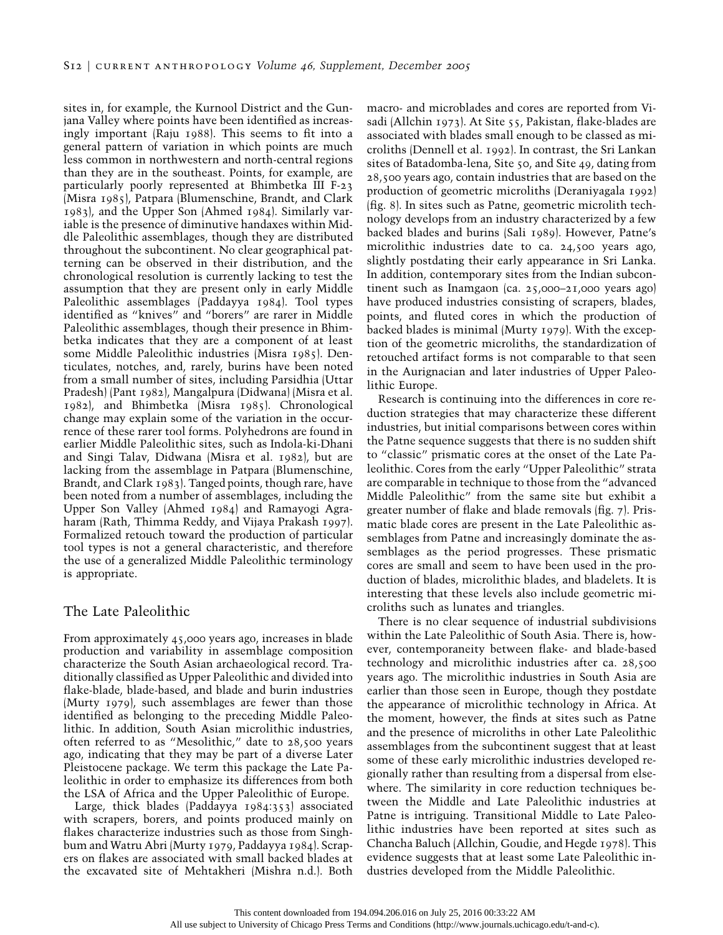sites in, for example, the Kurnool District and the Gunjana Valley where points have been identified as increasingly important (Raju 1988). This seems to fit into a general pattern of variation in which points are much less common in northwestern and north-central regions than they are in the southeast. Points, for example, are particularly poorly represented at Bhimbetka III F-23 (Misra 1985), Patpara (Blumenschine, Brandt, and Clark 1983), and the Upper Son (Ahmed 1984). Similarly variable is the presence of diminutive handaxes within Middle Paleolithic assemblages, though they are distributed throughout the subcontinent. No clear geographical patterning can be observed in their distribution, and the chronological resolution is currently lacking to test the assumption that they are present only in early Middle Paleolithic assemblages (Paddayya 1984). Tool types identified as "knives" and "borers" are rarer in Middle Paleolithic assemblages, though their presence in Bhimbetka indicates that they are a component of at least some Middle Paleolithic industries (Misra 1985). Denticulates, notches, and, rarely, burins have been noted from a small number of sites, including Parsidhia (Uttar Pradesh) (Pant 1982), Mangalpura (Didwana) (Misra et al. 1982), and Bhimbetka (Misra 1985). Chronological change may explain some of the variation in the occurrence of these rarer tool forms. Polyhedrons are found in earlier Middle Paleolithic sites, such as Indola-ki-Dhani and Singi Talav, Didwana (Misra et al. 1982), but are lacking from the assemblage in Patpara (Blumenschine, Brandt, and Clark 1983). Tanged points, though rare, have been noted from a number of assemblages, including the Upper Son Valley (Ahmed 1984) and Ramayogi Agraharam (Rath, Thimma Reddy, and Vijaya Prakash 1997). Formalized retouch toward the production of particular tool types is not a general characteristic, and therefore the use of a generalized Middle Paleolithic terminology is appropriate.

### The Late Paleolithic

From approximately 45,000 years ago, increases in blade production and variability in assemblage composition characterize the South Asian archaeological record. Traditionally classified as Upper Paleolithic and divided into flake-blade, blade-based, and blade and burin industries (Murty 1979), such assemblages are fewer than those identified as belonging to the preceding Middle Paleolithic. In addition, South Asian microlithic industries, often referred to as "Mesolithic," date to 28,500 years ago, indicating that they may be part of a diverse Later Pleistocene package. We term this package the Late Paleolithic in order to emphasize its differences from both the LSA of Africa and the Upper Paleolithic of Europe.

Large, thick blades (Paddayya 1984:353) associated with scrapers, borers, and points produced mainly on flakes characterize industries such as those from Singhbum and Watru Abri (Murty 1979, Paddayya 1984). Scrapers on flakes are associated with small backed blades at the excavated site of Mehtakheri (Mishra n.d.). Both

macro- and microblades and cores are reported from Visadi (Allchin 1973). At Site 55, Pakistan, flake-blades are associated with blades small enough to be classed as microliths (Dennell et al. 1992). In contrast, the Sri Lankan sites of Batadomba-lena, Site 50, and Site 49, dating from 28,500 years ago, contain industries that are based on the production of geometric microliths (Deraniyagala 1992) (fig. 8). In sites such as Patne, geometric microlith technology develops from an industry characterized by a few backed blades and burins (Sali 1989). However, Patne's microlithic industries date to ca. 24,500 years ago, slightly postdating their early appearance in Sri Lanka. In addition, contemporary sites from the Indian subcontinent such as Inamgaon (ca. 25,000–21,000 years ago) have produced industries consisting of scrapers, blades, points, and fluted cores in which the production of backed blades is minimal (Murty 1979). With the exception of the geometric microliths, the standardization of retouched artifact forms is not comparable to that seen in the Aurignacian and later industries of Upper Paleolithic Europe.

Research is continuing into the differences in core reduction strategies that may characterize these different industries, but initial comparisons between cores within the Patne sequence suggests that there is no sudden shift to "classic" prismatic cores at the onset of the Late Paleolithic. Cores from the early "Upper Paleolithic" strata are comparable in technique to those from the "advanced Middle Paleolithic" from the same site but exhibit a greater number of flake and blade removals (fig. 7). Prismatic blade cores are present in the Late Paleolithic assemblages from Patne and increasingly dominate the assemblages as the period progresses. These prismatic cores are small and seem to have been used in the production of blades, microlithic blades, and bladelets. It is interesting that these levels also include geometric microliths such as lunates and triangles.

There is no clear sequence of industrial subdivisions within the Late Paleolithic of South Asia. There is, however, contemporaneity between flake- and blade-based technology and microlithic industries after ca. 28,500 years ago. The microlithic industries in South Asia are earlier than those seen in Europe, though they postdate the appearance of microlithic technology in Africa. At the moment, however, the finds at sites such as Patne and the presence of microliths in other Late Paleolithic assemblages from the subcontinent suggest that at least some of these early microlithic industries developed regionally rather than resulting from a dispersal from elsewhere. The similarity in core reduction techniques between the Middle and Late Paleolithic industries at Patne is intriguing. Transitional Middle to Late Paleolithic industries have been reported at sites such as Chancha Baluch (Allchin, Goudie, and Hegde 1978). This evidence suggests that at least some Late Paleolithic industries developed from the Middle Paleolithic.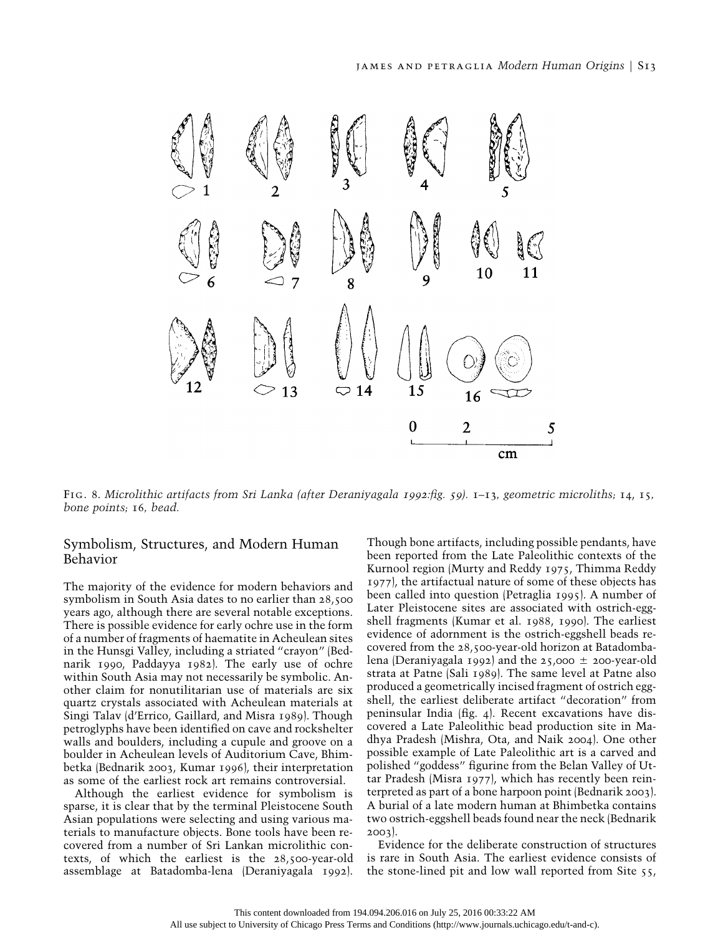

Fig. 8. *Microlithic artifacts from Sri Lanka (after Deraniyagala* <sup>1992</sup>*:fig.* <sup>59</sup>*).* 1–13*, geometric microliths;* 14, 15*, bone points;* 16*, bead.*

### Symbolism, Structures, and Modern Human Behavior

The majority of the evidence for modern behaviors and symbolism in South Asia dates to no earlier than 28,500 years ago, although there are several notable exceptions. There is possible evidence for early ochre use in the form of a number of fragments of haematite in Acheulean sites in the Hunsgi Valley, including a striated "crayon" (Bednarik 1990, Paddayya 1982). The early use of ochre within South Asia may not necessarily be symbolic. Another claim for nonutilitarian use of materials are six quartz crystals associated with Acheulean materials at Singi Talav (d'Errico, Gaillard, and Misra 1989). Though petroglyphs have been identified on cave and rockshelter walls and boulders, including a cupule and groove on a boulder in Acheulean levels of Auditorium Cave, Bhimbetka (Bednarik 2003, Kumar 1996), their interpretation as some of the earliest rock art remains controversial.

Although the earliest evidence for symbolism is sparse, it is clear that by the terminal Pleistocene South Asian populations were selecting and using various materials to manufacture objects. Bone tools have been recovered from a number of Sri Lankan microlithic contexts, of which the earliest is the 28,500-year-old assemblage at Batadomba-lena (Deraniyagala 1992).

Though bone artifacts, including possible pendants, have been reported from the Late Paleolithic contexts of the Kurnool region (Murty and Reddy 1975, Thimma Reddy 1977), the artifactual nature of some of these objects has been called into question (Petraglia 1995). A number of Later Pleistocene sites are associated with ostrich-eggshell fragments (Kumar et al. 1988, 1990). The earliest evidence of adornment is the ostrich-eggshell beads recovered from the 28,500-year-old horizon at Batadombalena (Deraniyagala 1992) and the 25,000 ± 200-year-old strata at Patne (Sali 1989). The same level at Patne also produced a geometrically incised fragment of ostrich eggshell, the earliest deliberate artifact "decoration" from peninsular India (fig. 4). Recent excavations have discovered a Late Paleolithic bead production site in Madhya Pradesh (Mishra, Ota, and Naik 2004). One other possible example of Late Paleolithic art is a carved and polished "goddess" figurine from the Belan Valley of Uttar Pradesh (Misra 1977), which has recently been reinterpreted as part of a bone harpoon point (Bednarik 2003). A burial of a late modern human at Bhimbetka contains two ostrich-eggshell beads found near the neck (Bednarik 2003).

Evidence for the deliberate construction of structures is rare in South Asia. The earliest evidence consists of the stone-lined pit and low wall reported from Site 55,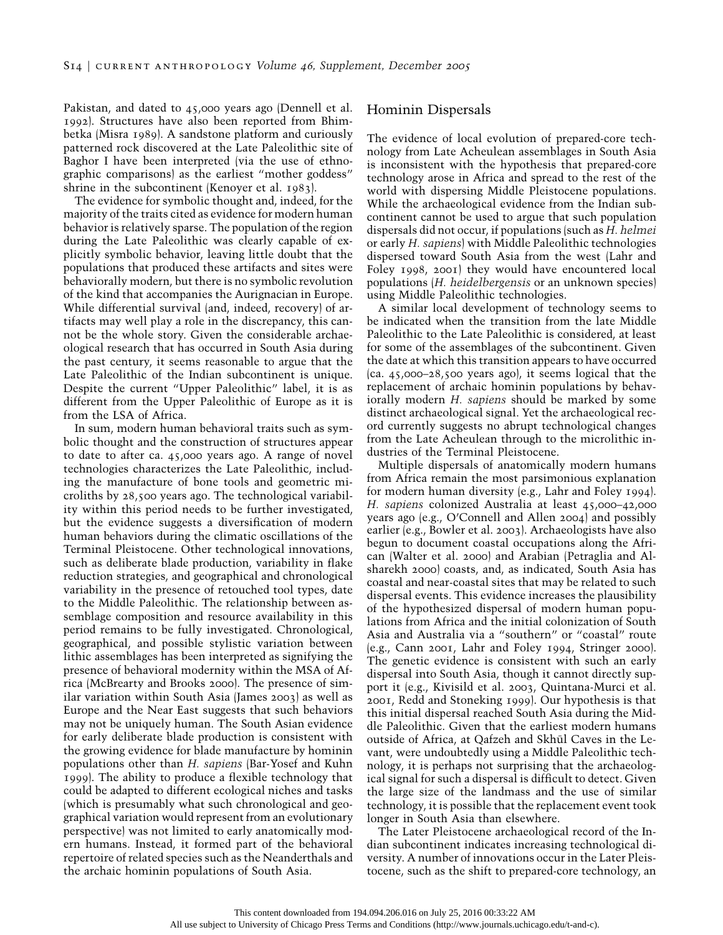Pakistan, and dated to 45,000 years ago (Dennell et al. 1992). Structures have also been reported from Bhimbetka (Misra 1989). A sandstone platform and curiously patterned rock discovered at the Late Paleolithic site of Baghor I have been interpreted (via the use of ethnographic comparisons) as the earliest "mother goddess" shrine in the subcontinent (Kenoyer et al. 1983).

The evidence for symbolic thought and, indeed, for the majority of the traits cited as evidence for modern human behavior is relatively sparse. The population of the region during the Late Paleolithic was clearly capable of explicitly symbolic behavior, leaving little doubt that the populations that produced these artifacts and sites were behaviorally modern, but there is no symbolic revolution of the kind that accompanies the Aurignacian in Europe. While differential survival (and, indeed, recovery) of artifacts may well play a role in the discrepancy, this cannot be the whole story. Given the considerable archaeological research that has occurred in South Asia during the past century, it seems reasonable to argue that the Late Paleolithic of the Indian subcontinent is unique. Despite the current "Upper Paleolithic" label, it is as different from the Upper Paleolithic of Europe as it is from the LSA of Africa.

In sum, modern human behavioral traits such as symbolic thought and the construction of structures appear to date to after ca. 45,000 years ago. A range of novel technologies characterizes the Late Paleolithic, including the manufacture of bone tools and geometric microliths by 28,500 years ago. The technological variability within this period needs to be further investigated, but the evidence suggests a diversification of modern human behaviors during the climatic oscillations of the Terminal Pleistocene. Other technological innovations, such as deliberate blade production, variability in flake reduction strategies, and geographical and chronological variability in the presence of retouched tool types, date to the Middle Paleolithic. The relationship between assemblage composition and resource availability in this period remains to be fully investigated. Chronological, geographical, and possible stylistic variation between lithic assemblages has been interpreted as signifying the presence of behavioral modernity within the MSA of Africa (McBrearty and Brooks 2000). The presence of similar variation within South Asia (James 2003) as well as Europe and the Near East suggests that such behaviors may not be uniquely human. The South Asian evidence for early deliberate blade production is consistent with the growing evidence for blade manufacture by hominin populations other than *H. sapiens* (Bar-Yosef and Kuhn 1999). The ability to produce a flexible technology that could be adapted to different ecological niches and tasks (which is presumably what such chronological and geographical variation would represent from an evolutionary perspective) was not limited to early anatomically modern humans. Instead, it formed part of the behavioral repertoire of related species such as the Neanderthals and the archaic hominin populations of South Asia.

### Hominin Dispersals

The evidence of local evolution of prepared-core technology from Late Acheulean assemblages in South Asia is inconsistent with the hypothesis that prepared-core technology arose in Africa and spread to the rest of the world with dispersing Middle Pleistocene populations. While the archaeological evidence from the Indian subcontinent cannot be used to argue that such population dispersals did not occur, if populations (such as *H. helmei* or early *H. sapiens*) with Middle Paleolithic technologies dispersed toward South Asia from the west (Lahr and Foley 1998, 2001) they would have encountered local populations (*H. heidelbergensis* or an unknown species) using Middle Paleolithic technologies.

A similar local development of technology seems to be indicated when the transition from the late Middle Paleolithic to the Late Paleolithic is considered, at least for some of the assemblages of the subcontinent. Given the date at which this transition appears to have occurred  $(ca. 45,000-28,500 \text{ years ago})$ , it seems logical that the replacement of archaic hominin populations by behaviorally modern *H. sapiens* should be marked by some distinct archaeological signal. Yet the archaeological record currently suggests no abrupt technological changes from the Late Acheulean through to the microlithic industries of the Terminal Pleistocene.

Multiple dispersals of anatomically modern humans from Africa remain the most parsimonious explanation for modern human diversity (e.g., Lahr and Foley 1994). *H. sapiens* colonized Australia at least 45,000–42,000 years ago (e.g., O'Connell and Allen 2004) and possibly earlier (e.g., Bowler et al. 2003). Archaeologists have also begun to document coastal occupations along the African (Walter et al. 2000) and Arabian (Petraglia and Alsharekh 2000) coasts, and, as indicated, South Asia has coastal and near-coastal sites that may be related to such dispersal events. This evidence increases the plausibility of the hypothesized dispersal of modern human populations from Africa and the initial colonization of South Asia and Australia via a "southern" or "coastal" route (e.g., Cann 2001, Lahr and Foley 1994, Stringer 2000). The genetic evidence is consistent with such an early dispersal into South Asia, though it cannot directly support it (e.g., Kivisild et al. 2003, Quintana-Murci et al. 2001, Redd and Stoneking 1999). Our hypothesis is that this initial dispersal reached South Asia during the Middle Paleolithic. Given that the earliest modern humans outside of Africa, at Qafzeh and Skhūl Caves in the Levant, were undoubtedly using a Middle Paleolithic technology, it is perhaps not surprising that the archaeological signal for such a dispersal is difficult to detect. Given the large size of the landmass and the use of similar technology, it is possible that the replacement event took longer in South Asia than elsewhere.

The Later Pleistocene archaeological record of the Indian subcontinent indicates increasing technological diversity. A number of innovations occur in the Later Pleistocene, such as the shift to prepared-core technology, an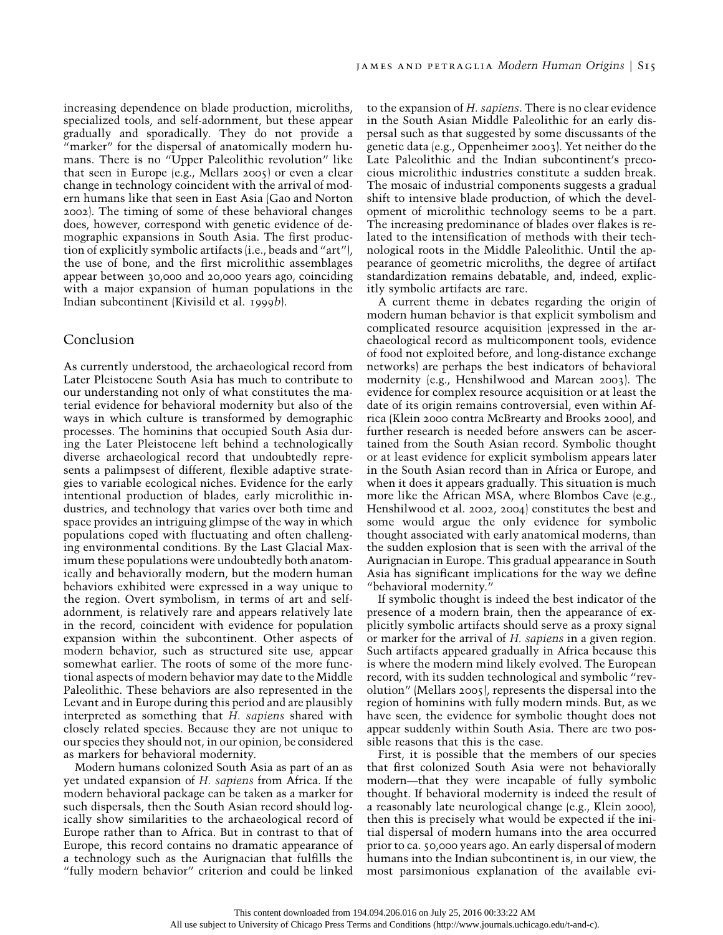increasing dependence on blade production, microliths, specialized tools, and self-adornment, but these appear gradually and sporadically. They do not provide a "marker" for the dispersal of anatomically modern humans. There is no "Upper Paleolithic revolution" like that seen in Europe (e.g., Mellars 2005) or even a clear change in technology coincident with the arrival of modern humans like that seen in East Asia (Gao and Norton 2002). The timing of some of these behavioral changes does, however, correspond with genetic evidence of demographic expansions in South Asia. The first production of explicitly symbolic artifacts (i.e., beads and "art"), the use of bone, and the first microlithic assemblages appear between 30,000 and 20,000 years ago, coinciding with a major expansion of human populations in the Indian subcontinent (Kivisild et al. 1999*b*).

### Conclusion

As currently understood, the archaeological record from Later Pleistocene South Asia has much to contribute to our understanding not only of what constitutes the material evidence for behavioral modernity but also of the ways in which culture is transformed by demographic processes. The hominins that occupied South Asia during the Later Pleistocene left behind a technologically diverse archaeological record that undoubtedly represents a palimpsest of different, flexible adaptive strategies to variable ecological niches. Evidence for the early intentional production of blades, early microlithic industries, and technology that varies over both time and space provides an intriguing glimpse of the way in which populations coped with fluctuating and often challenging environmental conditions. By the Last Glacial Maximum these populations were undoubtedly both anatomically and behaviorally modern, but the modern human behaviors exhibited were expressed in a way unique to the region. Overt symbolism, in terms of art and selfadornment, is relatively rare and appears relatively late in the record, coincident with evidence for population expansion within the subcontinent. Other aspects of modern behavior, such as structured site use, appear somewhat earlier. The roots of some of the more functional aspects of modern behavior may date to the Middle Paleolithic. These behaviors are also represented in the Levant and in Europe during this period and are plausibly interpreted as something that *H. sapiens* shared with closely related species. Because they are not unique to our species they should not, in our opinion, be considered as markers for behavioral modernity.

Modern humans colonized South Asia as part of an as yet undated expansion of *H. sapiens* from Africa. If the modern behavioral package can be taken as a marker for such dispersals, then the South Asian record should logically show similarities to the archaeological record of Europe rather than to Africa. But in contrast to that of Europe, this record contains no dramatic appearance of a technology such as the Aurignacian that fulfills the "fully modern behavior" criterion and could be linked to the expansion of *H. sapiens*. There is no clear evidence in the South Asian Middle Paleolithic for an early dispersal such as that suggested by some discussants of the genetic data (e.g., Oppenheimer 2003). Yet neither do the Late Paleolithic and the Indian subcontinent's precocious microlithic industries constitute a sudden break. The mosaic of industrial components suggests a gradual shift to intensive blade production, of which the development of microlithic technology seems to be a part. The increasing predominance of blades over flakes is related to the intensification of methods with their technological roots in the Middle Paleolithic. Until the appearance of geometric microliths, the degree of artifact standardization remains debatable, and, indeed, explicitly symbolic artifacts are rare.

A current theme in debates regarding the origin of modern human behavior is that explicit symbolism and complicated resource acquisition (expressed in the archaeological record as multicomponent tools, evidence of food not exploited before, and long-distance exchange networks) are perhaps the best indicators of behavioral modernity (e.g., Henshilwood and Marean 2003). The evidence for complex resource acquisition or at least the date of its origin remains controversial, even within Africa (Klein 2000 contra McBrearty and Brooks 2000), and further research is needed before answers can be ascertained from the South Asian record. Symbolic thought or at least evidence for explicit symbolism appears later in the South Asian record than in Africa or Europe, and when it does it appears gradually. This situation is much more like the African MSA, where Blombos Cave (e.g., Henshilwood et al. 2002, 2004) constitutes the best and some would argue the only evidence for symbolic thought associated with early anatomical moderns, than the sudden explosion that is seen with the arrival of the Aurignacian in Europe. This gradual appearance in South Asia has significant implications for the way we define "behavioral modernity."

If symbolic thought is indeed the best indicator of the presence of a modern brain, then the appearance of explicitly symbolic artifacts should serve as a proxy signal or marker for the arrival of *H. sapiens* in a given region. Such artifacts appeared gradually in Africa because this is where the modern mind likely evolved. The European record, with its sudden technological and symbolic "revolution" (Mellars 2005), represents the dispersal into the region of hominins with fully modern minds. But, as we have seen, the evidence for symbolic thought does not appear suddenly within South Asia. There are two possible reasons that this is the case.

First, it is possible that the members of our species that first colonized South Asia were not behaviorally modern—that they were incapable of fully symbolic thought. If behavioral modernity is indeed the result of a reasonably late neurological change (e.g., Klein 2000), then this is precisely what would be expected if the initial dispersal of modern humans into the area occurred prior to ca. 50,000 years ago. An early dispersal of modern humans into the Indian subcontinent is, in our view, the most parsimonious explanation of the available evi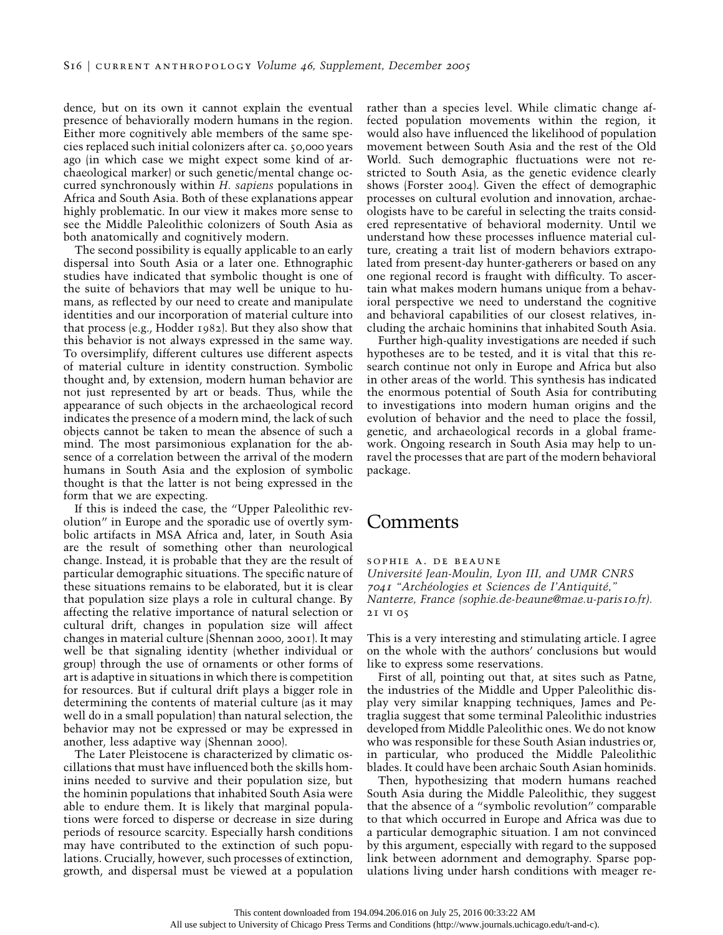dence, but on its own it cannot explain the eventual presence of behaviorally modern humans in the region. Either more cognitively able members of the same species replaced such initial colonizers after ca. 50,000 years ago (in which case we might expect some kind of archaeological marker) or such genetic/mental change occurred synchronously within *H. sapiens* populations in Africa and South Asia. Both of these explanations appear highly problematic. In our view it makes more sense to see the Middle Paleolithic colonizers of South Asia as both anatomically and cognitively modern.

The second possibility is equally applicable to an early dispersal into South Asia or a later one. Ethnographic studies have indicated that symbolic thought is one of the suite of behaviors that may well be unique to humans, as reflected by our need to create and manipulate identities and our incorporation of material culture into that process (e.g., Hodder 1982). But they also show that this behavior is not always expressed in the same way. To oversimplify, different cultures use different aspects of material culture in identity construction. Symbolic thought and, by extension, modern human behavior are not just represented by art or beads. Thus, while the appearance of such objects in the archaeological record indicates the presence of a modern mind, the lack of such objects cannot be taken to mean the absence of such a mind. The most parsimonious explanation for the absence of a correlation between the arrival of the modern humans in South Asia and the explosion of symbolic thought is that the latter is not being expressed in the form that we are expecting.

If this is indeed the case, the "Upper Paleolithic revolution" in Europe and the sporadic use of overtly symbolic artifacts in MSA Africa and, later, in South Asia are the result of something other than neurological change. Instead, it is probable that they are the result of particular demographic situations. The specific nature of these situations remains to be elaborated, but it is clear that population size plays a role in cultural change. By affecting the relative importance of natural selection or cultural drift, changes in population size will affect changes in material culture (Shennan 2000, 2001). It may well be that signaling identity (whether individual or group) through the use of ornaments or other forms of art is adaptive in situations in which there is competition for resources. But if cultural drift plays a bigger role in determining the contents of material culture (as it may well do in a small population) than natural selection, the behavior may not be expressed or may be expressed in another, less adaptive way (Shennan 2000).

The Later Pleistocene is characterized by climatic oscillations that must have influenced both the skills hominins needed to survive and their population size, but the hominin populations that inhabited South Asia were able to endure them. It is likely that marginal populations were forced to disperse or decrease in size during periods of resource scarcity. Especially harsh conditions may have contributed to the extinction of such populations. Crucially, however, such processes of extinction, growth, and dispersal must be viewed at a population rather than a species level. While climatic change affected population movements within the region, it would also have influenced the likelihood of population movement between South Asia and the rest of the Old World. Such demographic fluctuations were not restricted to South Asia, as the genetic evidence clearly shows (Forster 2004). Given the effect of demographic processes on cultural evolution and innovation, archaeologists have to be careful in selecting the traits considered representative of behavioral modernity. Until we understand how these processes influence material culture, creating a trait list of modern behaviors extrapolated from present-day hunter-gatherers or based on any one regional record is fraught with difficulty. To ascertain what makes modern humans unique from a behavioral perspective we need to understand the cognitive and behavioral capabilities of our closest relatives, including the archaic hominins that inhabited South Asia.

Further high-quality investigations are needed if such hypotheses are to be tested, and it is vital that this research continue not only in Europe and Africa but also in other areas of the world. This synthesis has indicated the enormous potential of South Asia for contributing to investigations into modern human origins and the evolution of behavior and the need to place the fossil, genetic, and archaeological records in a global framework. Ongoing research in South Asia may help to unravel the processes that are part of the modern behavioral package.

# Comments

21 vi 05

sophie a. de beaune *Universite´ Jean-Moulin, Lyon III, and UMR CNRS* <sup>7041</sup> *"Arche´ologies et Sciences de I'Antiquite´," Nanterre, France (sophie.de-beaune@mae.u-paris*10*.fr).*

This is a very interesting and stimulating article. I agree on the whole with the authors' conclusions but would like to express some reservations.

First of all, pointing out that, at sites such as Patne, the industries of the Middle and Upper Paleolithic display very similar knapping techniques, James and Petraglia suggest that some terminal Paleolithic industries developed from Middle Paleolithic ones. We do not know who was responsible for these South Asian industries or, in particular, who produced the Middle Paleolithic blades. It could have been archaic South Asian hominids.

Then, hypothesizing that modern humans reached South Asia during the Middle Paleolithic, they suggest that the absence of a "symbolic revolution" comparable to that which occurred in Europe and Africa was due to a particular demographic situation. I am not convinced by this argument, especially with regard to the supposed link between adornment and demography. Sparse populations living under harsh conditions with meager re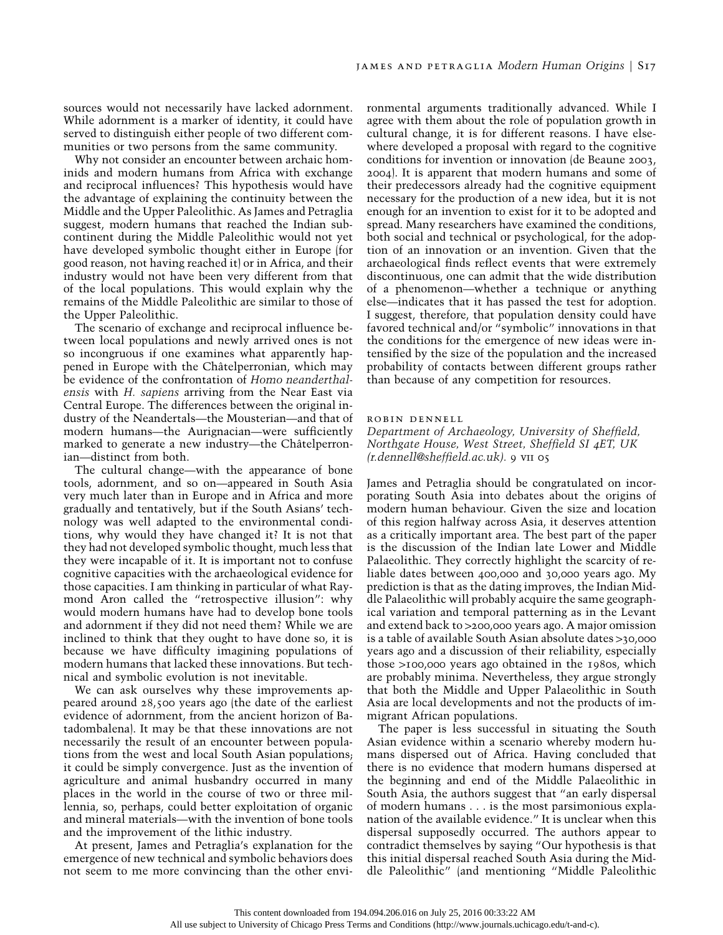sources would not necessarily have lacked adornment. While adornment is a marker of identity, it could have served to distinguish either people of two different communities or two persons from the same community.

Why not consider an encounter between archaic hominids and modern humans from Africa with exchange and reciprocal influences? This hypothesis would have the advantage of explaining the continuity between the Middle and the Upper Paleolithic. As James and Petraglia suggest, modern humans that reached the Indian subcontinent during the Middle Paleolithic would not yet have developed symbolic thought either in Europe (for good reason, not having reached it) or in Africa, and their industry would not have been very different from that of the local populations. This would explain why the remains of the Middle Paleolithic are similar to those of the Upper Paleolithic.

The scenario of exchange and reciprocal influence between local populations and newly arrived ones is not so incongruous if one examines what apparently happened in Europe with the Châtelperronian, which may be evidence of the confrontation of *Homo neanderthalensis* with *H. sapiens* arriving from the Near East via Central Europe. The differences between the original industry of the Neandertals—the Mousterian—and that of modern humans—the Aurignacian—were sufficiently marked to generate a new industry—the Châtelperronian—distinct from both.

The cultural change—with the appearance of bone tools, adornment, and so on—appeared in South Asia very much later than in Europe and in Africa and more gradually and tentatively, but if the South Asians' technology was well adapted to the environmental conditions, why would they have changed it? It is not that they had not developed symbolic thought, much less that they were incapable of it. It is important not to confuse cognitive capacities with the archaeological evidence for those capacities. I am thinking in particular of what Raymond Aron called the "retrospective illusion": why would modern humans have had to develop bone tools and adornment if they did not need them? While we are inclined to think that they ought to have done so, it is because we have difficulty imagining populations of modern humans that lacked these innovations. But technical and symbolic evolution is not inevitable.

We can ask ourselves why these improvements appeared around 28,500 years ago (the date of the earliest evidence of adornment, from the ancient horizon of Batadombalena). It may be that these innovations are not necessarily the result of an encounter between populations from the west and local South Asian populations; it could be simply convergence. Just as the invention of agriculture and animal husbandry occurred in many places in the world in the course of two or three millennia, so, perhaps, could better exploitation of organic and mineral materials—with the invention of bone tools and the improvement of the lithic industry.

At present, James and Petraglia's explanation for the emergence of new technical and symbolic behaviors does not seem to me more convincing than the other environmental arguments traditionally advanced. While I agree with them about the role of population growth in cultural change, it is for different reasons. I have elsewhere developed a proposal with regard to the cognitive conditions for invention or innovation (de Beaune 2003, 2004). It is apparent that modern humans and some of their predecessors already had the cognitive equipment necessary for the production of a new idea, but it is not enough for an invention to exist for it to be adopted and spread. Many researchers have examined the conditions, both social and technical or psychological, for the adoption of an innovation or an invention. Given that the archaeological finds reflect events that were extremely discontinuous, one can admit that the wide distribution of a phenomenon—whether a technique or anything else—indicates that it has passed the test for adoption. I suggest, therefore, that population density could have favored technical and/or "symbolic" innovations in that the conditions for the emergence of new ideas were intensified by the size of the population and the increased probability of contacts between different groups rather than because of any competition for resources.

#### robin dennell

*Department of Archaeology, University of Sheffield, Northgate House, West Street, Sheffield SI* <sup>4</sup>*ET, UK (r.dennell@sheffield.ac.uk).* 9 vii 05

James and Petraglia should be congratulated on incorporating South Asia into debates about the origins of modern human behaviour. Given the size and location of this region halfway across Asia, it deserves attention as a critically important area. The best part of the paper is the discussion of the Indian late Lower and Middle Palaeolithic. They correctly highlight the scarcity of reliable dates between 400,000 and 30,000 years ago. My prediction is that as the dating improves, the Indian Middle Palaeolithic will probably acquire the same geographical variation and temporal patterning as in the Levant and extend back to  $>$ 200,000 years ago. A major omission is a table of available South Asian absolute dates  $>$ 30,000 years ago and a discussion of their reliability, especially those  $>100,000$  years ago obtained in the 1980s, which are probably minima. Nevertheless, they argue strongly that both the Middle and Upper Palaeolithic in South Asia are local developments and not the products of immigrant African populations.

The paper is less successful in situating the South Asian evidence within a scenario whereby modern humans dispersed out of Africa. Having concluded that there is no evidence that modern humans dispersed at the beginning and end of the Middle Palaeolithic in South Asia, the authors suggest that "an early dispersal of modern humans . . . is the most parsimonious explanation of the available evidence." It is unclear when this dispersal supposedly occurred. The authors appear to contradict themselves by saying "Our hypothesis is that this initial dispersal reached South Asia during the Middle Paleolithic" (and mentioning "Middle Paleolithic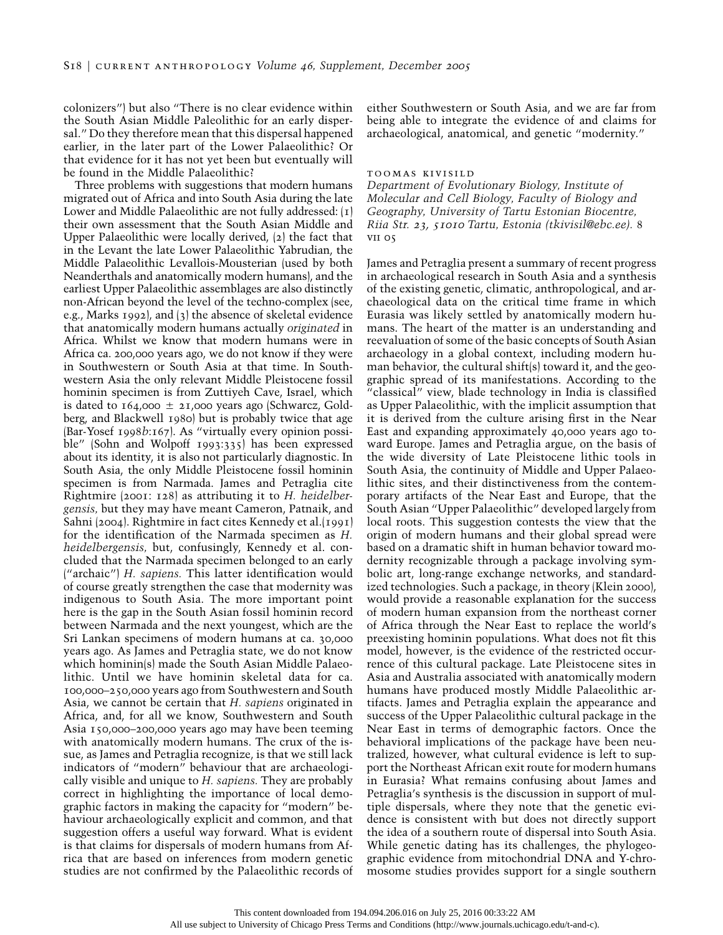colonizers") but also "There is no clear evidence within the South Asian Middle Paleolithic for an early dispersal." Do they therefore mean that this dispersal happened earlier, in the later part of the Lower Palaeolithic? Or that evidence for it has not yet been but eventually will be found in the Middle Palaeolithic?

Three problems with suggestions that modern humans migrated out of Africa and into South Asia during the late Lower and Middle Palaeolithic are not fully addressed: (1) their own assessment that the South Asian Middle and Upper Palaeolithic were locally derived, (2) the fact that in the Levant the late Lower Palaeolithic Yabrudian, the Middle Palaeolithic Levallois-Mousterian (used by both Neanderthals and anatomically modern humans), and the earliest Upper Palaeolithic assemblages are also distinctly non-African beyond the level of the techno-complex (see, e.g., Marks 1992), and (3) the absence of skeletal evidence that anatomically modern humans actually *originated* in Africa. Whilst we know that modern humans were in Africa ca. 200,000 years ago, we do not know if they were in Southwestern or South Asia at that time. In Southwestern Asia the only relevant Middle Pleistocene fossil hominin specimen is from Zuttiyeh Cave, Israel, which is dated to 164,000  $\pm$  21,000 years ago (Schwarcz, Goldberg, and Blackwell 1980) but is probably twice that age (Bar-Yosef 1998*b*:167). As "virtually every opinion possible" (Sohn and Wolpoff 1993:335) has been expressed about its identity, it is also not particularly diagnostic. In South Asia, the only Middle Pleistocene fossil hominin specimen is from Narmada. James and Petraglia cite Rightmire (2001: 128) as attributing it to *H. heidelbergensis,* but they may have meant Cameron, Patnaik, and Sahni (2004). Rightmire in fact cites Kennedy et al.(1991) for the identification of the Narmada specimen as *H. heidelbergensis,* but, confusingly, Kennedy et al. concluded that the Narmada specimen belonged to an early ("archaic") *H. sapiens.* This latter identification would of course greatly strengthen the case that modernity was indigenous to South Asia. The more important point here is the gap in the South Asian fossil hominin record between Narmada and the next youngest, which are the Sri Lankan specimens of modern humans at ca. 30,000 years ago. As James and Petraglia state, we do not know which hominin(s) made the South Asian Middle Palaeolithic. Until we have hominin skeletal data for ca. 100,000–250,000 years ago from Southwestern and South Asia, we cannot be certain that *H. sapiens* originated in Africa, and, for all we know, Southwestern and South Asia 150,000–200,000 years ago may have been teeming with anatomically modern humans. The crux of the issue, as James and Petraglia recognize, is that we still lack indicators of "modern" behaviour that are archaeologically visible and unique to *H. sapiens.* They are probably correct in highlighting the importance of local demographic factors in making the capacity for "modern" behaviour archaeologically explicit and common, and that suggestion offers a useful way forward. What is evident is that claims for dispersals of modern humans from Africa that are based on inferences from modern genetic studies are not confirmed by the Palaeolithic records of either Southwestern or South Asia, and we are far from being able to integrate the evidence of and claims for archaeological, anatomical, and genetic "modernity."

### toomas kivisild

*Department of Evolutionary Biology, Institute of Molecular and Cell Biology, Faculty of Biology and Geography, University of Tartu Estonian Biocentre, Riia Str.* 23, <sup>51010</sup> *Tartu, Estonia (tkivisil@ebc.ee).* 8 vii 05

James and Petraglia present a summary of recent progress in archaeological research in South Asia and a synthesis of the existing genetic, climatic, anthropological, and archaeological data on the critical time frame in which Eurasia was likely settled by anatomically modern humans. The heart of the matter is an understanding and reevaluation of some of the basic concepts of South Asian archaeology in a global context, including modern human behavior, the cultural shift(s) toward it, and the geographic spread of its manifestations. According to the "classical" view, blade technology in India is classified as Upper Palaeolithic, with the implicit assumption that it is derived from the culture arising first in the Near East and expanding approximately 40,000 years ago toward Europe. James and Petraglia argue, on the basis of the wide diversity of Late Pleistocene lithic tools in South Asia, the continuity of Middle and Upper Palaeolithic sites, and their distinctiveness from the contemporary artifacts of the Near East and Europe, that the South Asian "Upper Palaeolithic" developed largely from local roots. This suggestion contests the view that the origin of modern humans and their global spread were based on a dramatic shift in human behavior toward modernity recognizable through a package involving symbolic art, long-range exchange networks, and standardized technologies. Such a package, in theory (Klein 2000), would provide a reasonable explanation for the success of modern human expansion from the northeast corner of Africa through the Near East to replace the world's preexisting hominin populations. What does not fit this model, however, is the evidence of the restricted occurrence of this cultural package. Late Pleistocene sites in Asia and Australia associated with anatomically modern humans have produced mostly Middle Palaeolithic artifacts. James and Petraglia explain the appearance and success of the Upper Palaeolithic cultural package in the Near East in terms of demographic factors. Once the behavioral implications of the package have been neutralized, however, what cultural evidence is left to support the Northeast African exit route for modern humans in Eurasia? What remains confusing about James and Petraglia's synthesis is the discussion in support of multiple dispersals, where they note that the genetic evidence is consistent with but does not directly support the idea of a southern route of dispersal into South Asia. While genetic dating has its challenges, the phylogeographic evidence from mitochondrial DNA and Y-chromosome studies provides support for a single southern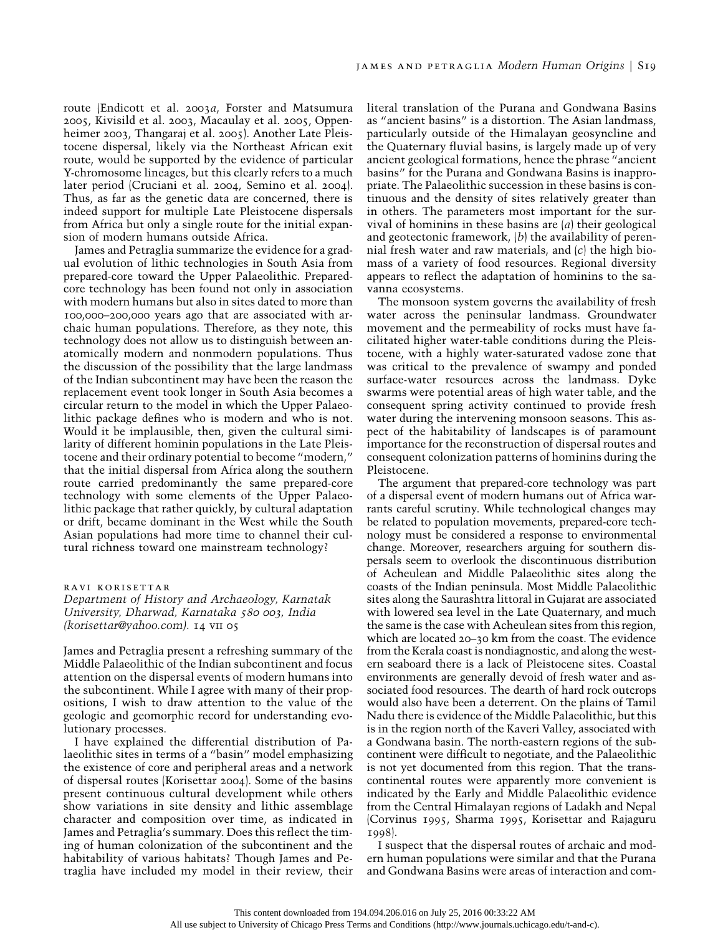route (Endicott et al. 2003*a*, Forster and Matsumura 2005, Kivisild et al. 2003, Macaulay et al. 2005, Oppenheimer 2003, Thangaraj et al. 2005). Another Late Pleistocene dispersal, likely via the Northeast African exit route, would be supported by the evidence of particular Y-chromosome lineages, but this clearly refers to a much later period (Cruciani et al. 2004, Semino et al. 2004). Thus, as far as the genetic data are concerned, there is indeed support for multiple Late Pleistocene dispersals from Africa but only a single route for the initial expansion of modern humans outside Africa.

James and Petraglia summarize the evidence for a gradual evolution of lithic technologies in South Asia from prepared-core toward the Upper Palaeolithic. Preparedcore technology has been found not only in association with modern humans but also in sites dated to more than 100,000–200,000 years ago that are associated with archaic human populations. Therefore, as they note, this technology does not allow us to distinguish between anatomically modern and nonmodern populations. Thus the discussion of the possibility that the large landmass of the Indian subcontinent may have been the reason the replacement event took longer in South Asia becomes a circular return to the model in which the Upper Palaeolithic package defines who is modern and who is not. Would it be implausible, then, given the cultural similarity of different hominin populations in the Late Pleistocene and their ordinary potential to become "modern," that the initial dispersal from Africa along the southern route carried predominantly the same prepared-core technology with some elements of the Upper Palaeolithic package that rather quickly, by cultural adaptation or drift, became dominant in the West while the South Asian populations had more time to channel their cultural richness toward one mainstream technology?

### ravi korisettar

*Department of History and Archaeology, Karnatak University, Dharwad, Karnataka* 580 <sup>003</sup>*, India (korisettar@yahoo.com).* 14 vii 05

James and Petraglia present a refreshing summary of the Middle Palaeolithic of the Indian subcontinent and focus attention on the dispersal events of modern humans into the subcontinent. While I agree with many of their propositions, I wish to draw attention to the value of the geologic and geomorphic record for understanding evolutionary processes.

I have explained the differential distribution of Palaeolithic sites in terms of a "basin" model emphasizing the existence of core and peripheral areas and a network of dispersal routes (Korisettar 2004). Some of the basins present continuous cultural development while others show variations in site density and lithic assemblage character and composition over time, as indicated in James and Petraglia's summary. Does this reflect the timing of human colonization of the subcontinent and the habitability of various habitats? Though James and Petraglia have included my model in their review, their literal translation of the Purana and Gondwana Basins as "ancient basins" is a distortion. The Asian landmass, particularly outside of the Himalayan geosyncline and the Quaternary fluvial basins, is largely made up of very ancient geological formations, hence the phrase "ancient basins" for the Purana and Gondwana Basins is inappropriate. The Palaeolithic succession in these basins is continuous and the density of sites relatively greater than in others. The parameters most important for the survival of hominins in these basins are (*a*) their geological and geotectonic framework, (*b*) the availability of perennial fresh water and raw materials, and (*c*) the high biomass of a variety of food resources. Regional diversity appears to reflect the adaptation of hominins to the savanna ecosystems.

The monsoon system governs the availability of fresh water across the peninsular landmass. Groundwater movement and the permeability of rocks must have facilitated higher water-table conditions during the Pleistocene, with a highly water-saturated vadose zone that was critical to the prevalence of swampy and ponded surface-water resources across the landmass. Dyke swarms were potential areas of high water table, and the consequent spring activity continued to provide fresh water during the intervening monsoon seasons. This aspect of the habitability of landscapes is of paramount importance for the reconstruction of dispersal routes and consequent colonization patterns of hominins during the Pleistocene.

The argument that prepared-core technology was part of a dispersal event of modern humans out of Africa warrants careful scrutiny. While technological changes may be related to population movements, prepared-core technology must be considered a response to environmental change. Moreover, researchers arguing for southern dispersals seem to overlook the discontinuous distribution of Acheulean and Middle Palaeolithic sites along the coasts of the Indian peninsula. Most Middle Palaeolithic sites along the Saurashtra littoral in Gujarat are associated with lowered sea level in the Late Quaternary, and much the same is the case with Acheulean sites from this region, which are located 20–30 km from the coast. The evidence from the Kerala coast is nondiagnostic, and along the western seaboard there is a lack of Pleistocene sites. Coastal environments are generally devoid of fresh water and associated food resources. The dearth of hard rock outcrops would also have been a deterrent. On the plains of Tamil Nadu there is evidence of the Middle Palaeolithic, but this is in the region north of the Kaveri Valley, associated with a Gondwana basin. The north-eastern regions of the subcontinent were difficult to negotiate, and the Palaeolithic is not yet documented from this region. That the transcontinental routes were apparently more convenient is indicated by the Early and Middle Palaeolithic evidence from the Central Himalayan regions of Ladakh and Nepal (Corvinus 1995, Sharma 1995, Korisettar and Rajaguru 1998).

I suspect that the dispersal routes of archaic and modern human populations were similar and that the Purana and Gondwana Basins were areas of interaction and com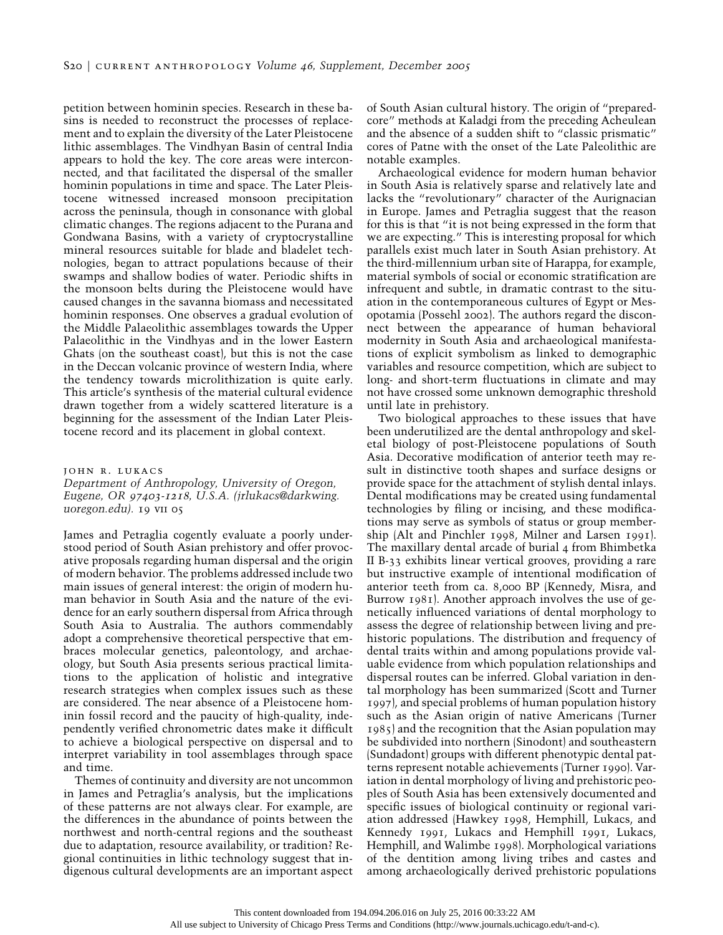petition between hominin species. Research in these basins is needed to reconstruct the processes of replacement and to explain the diversity of the Later Pleistocene lithic assemblages. The Vindhyan Basin of central India appears to hold the key. The core areas were interconnected, and that facilitated the dispersal of the smaller hominin populations in time and space. The Later Pleistocene witnessed increased monsoon precipitation across the peninsula, though in consonance with global climatic changes. The regions adjacent to the Purana and Gondwana Basins, with a variety of cryptocrystalline mineral resources suitable for blade and bladelet technologies, began to attract populations because of their swamps and shallow bodies of water. Periodic shifts in the monsoon belts during the Pleistocene would have caused changes in the savanna biomass and necessitated hominin responses. One observes a gradual evolution of the Middle Palaeolithic assemblages towards the Upper Palaeolithic in the Vindhyas and in the lower Eastern Ghats (on the southeast coast), but this is not the case in the Deccan volcanic province of western India, where the tendency towards microlithization is quite early. This article's synthesis of the material cultural evidence drawn together from a widely scattered literature is a beginning for the assessment of the Indian Later Pleistocene record and its placement in global context.

#### john r. lukacs

*Department of Anthropology, University of Oregon, Eugene, OR* 97403-1218*, U.S.A. (jrlukacs@darkwing. uoregon.edu).* 19 vii 05

James and Petraglia cogently evaluate a poorly understood period of South Asian prehistory and offer provocative proposals regarding human dispersal and the origin of modern behavior. The problems addressed include two main issues of general interest: the origin of modern human behavior in South Asia and the nature of the evidence for an early southern dispersal from Africa through South Asia to Australia. The authors commendably adopt a comprehensive theoretical perspective that embraces molecular genetics, paleontology, and archaeology, but South Asia presents serious practical limitations to the application of holistic and integrative research strategies when complex issues such as these are considered. The near absence of a Pleistocene hominin fossil record and the paucity of high-quality, independently verified chronometric dates make it difficult to achieve a biological perspective on dispersal and to interpret variability in tool assemblages through space and time.

Themes of continuity and diversity are not uncommon in James and Petraglia's analysis, but the implications of these patterns are not always clear. For example, are the differences in the abundance of points between the northwest and north-central regions and the southeast due to adaptation, resource availability, or tradition? Regional continuities in lithic technology suggest that indigenous cultural developments are an important aspect of South Asian cultural history. The origin of "preparedcore" methods at Kaladgi from the preceding Acheulean and the absence of a sudden shift to "classic prismatic" cores of Patne with the onset of the Late Paleolithic are notable examples.

Archaeological evidence for modern human behavior in South Asia is relatively sparse and relatively late and lacks the "revolutionary" character of the Aurignacian in Europe. James and Petraglia suggest that the reason for this is that "it is not being expressed in the form that we are expecting." This is interesting proposal for which parallels exist much later in South Asian prehistory. At the third-millennium urban site of Harappa, for example, material symbols of social or economic stratification are infrequent and subtle, in dramatic contrast to the situation in the contemporaneous cultures of Egypt or Mesopotamia (Possehl 2002). The authors regard the disconnect between the appearance of human behavioral modernity in South Asia and archaeological manifestations of explicit symbolism as linked to demographic variables and resource competition, which are subject to long- and short-term fluctuations in climate and may not have crossed some unknown demographic threshold until late in prehistory.

Two biological approaches to these issues that have been underutilized are the dental anthropology and skeletal biology of post-Pleistocene populations of South Asia. Decorative modification of anterior teeth may result in distinctive tooth shapes and surface designs or provide space for the attachment of stylish dental inlays. Dental modifications may be created using fundamental technologies by filing or incising, and these modifications may serve as symbols of status or group membership (Alt and Pinchler 1998, Milner and Larsen 1991). The maxillary dental arcade of burial 4 from Bhimbetka II B-33 exhibits linear vertical grooves, providing a rare but instructive example of intentional modification of anterior teeth from ca. 8,000 BP (Kennedy, Misra, and Burrow 1981). Another approach involves the use of genetically influenced variations of dental morphology to assess the degree of relationship between living and prehistoric populations. The distribution and frequency of dental traits within and among populations provide valuable evidence from which population relationships and dispersal routes can be inferred. Global variation in dental morphology has been summarized (Scott and Turner 1997), and special problems of human population history such as the Asian origin of native Americans (Turner 1985) and the recognition that the Asian population may be subdivided into northern (Sinodont) and southeastern (Sundadont) groups with different phenotypic dental patterns represent notable achievements (Turner 1990). Variation in dental morphology of living and prehistoric peoples of South Asia has been extensively documented and specific issues of biological continuity or regional variation addressed (Hawkey 1998, Hemphill, Lukacs, and Kennedy 1991, Lukacs and Hemphill 1991, Lukacs, Hemphill, and Walimbe 1998). Morphological variations of the dentition among living tribes and castes and among archaeologically derived prehistoric populations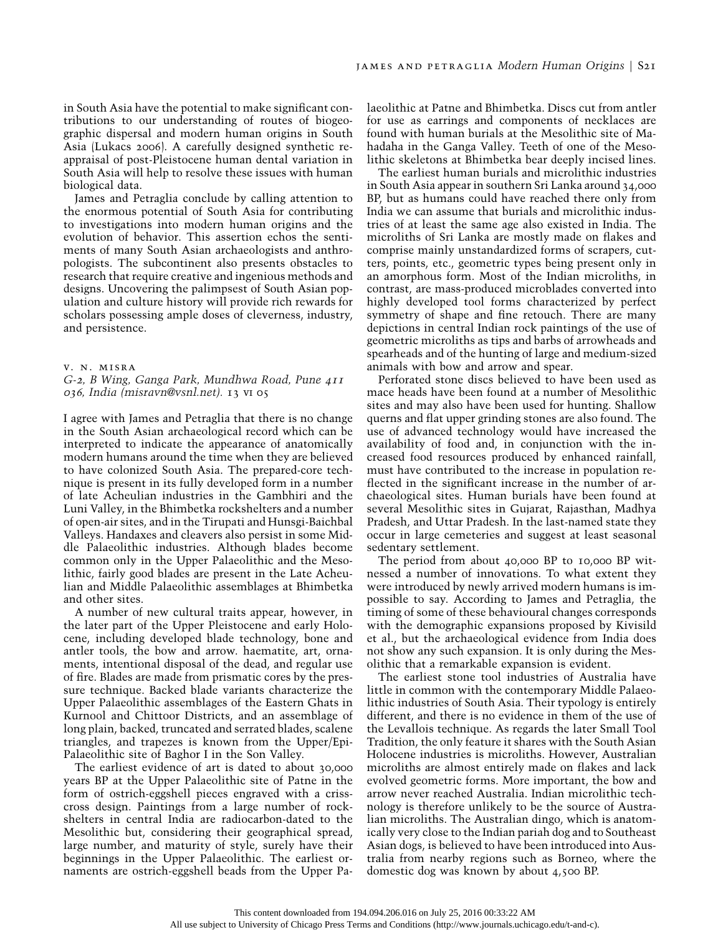in South Asia have the potential to make significant contributions to our understanding of routes of biogeographic dispersal and modern human origins in South Asia (Lukacs 2006). A carefully designed synthetic reappraisal of post-Pleistocene human dental variation in South Asia will help to resolve these issues with human biological data.

James and Petraglia conclude by calling attention to the enormous potential of South Asia for contributing to investigations into modern human origins and the evolution of behavior. This assertion echos the sentiments of many South Asian archaeologists and anthropologists. The subcontinent also presents obstacles to research that require creative and ingenious methods and designs. Uncovering the palimpsest of South Asian population and culture history will provide rich rewards for scholars possessing ample doses of cleverness, industry, and persistence.

### v. n. misra

*G-*2*, B Wing, Ganga Park, Mundhwa Road, Pune* <sup>411</sup> 036*, India (misravn@vsnl.net).* 13 vi 05

I agree with James and Petraglia that there is no change in the South Asian archaeological record which can be interpreted to indicate the appearance of anatomically modern humans around the time when they are believed to have colonized South Asia. The prepared-core technique is present in its fully developed form in a number of late Acheulian industries in the Gambhiri and the Luni Valley, in the Bhimbetka rockshelters and a number of open-air sites, and in the Tirupati and Hunsgi-Baichbal Valleys. Handaxes and cleavers also persist in some Middle Palaeolithic industries. Although blades become common only in the Upper Palaeolithic and the Mesolithic, fairly good blades are present in the Late Acheulian and Middle Palaeolithic assemblages at Bhimbetka and other sites.

A number of new cultural traits appear, however, in the later part of the Upper Pleistocene and early Holocene, including developed blade technology, bone and antler tools, the bow and arrow. haematite, art, ornaments, intentional disposal of the dead, and regular use of fire. Blades are made from prismatic cores by the pressure technique. Backed blade variants characterize the Upper Palaeolithic assemblages of the Eastern Ghats in Kurnool and Chittoor Districts, and an assemblage of long plain, backed, truncated and serrated blades, scalene triangles, and trapezes is known from the Upper/Epi-Palaeolithic site of Baghor I in the Son Valley.

The earliest evidence of art is dated to about 30,000 years BP at the Upper Palaeolithic site of Patne in the form of ostrich-eggshell pieces engraved with a crisscross design. Paintings from a large number of rockshelters in central India are radiocarbon-dated to the Mesolithic but, considering their geographical spread, large number, and maturity of style, surely have their beginnings in the Upper Palaeolithic. The earliest ornaments are ostrich-eggshell beads from the Upper Palaeolithic at Patne and Bhimbetka. Discs cut from antler for use as earrings and components of necklaces are found with human burials at the Mesolithic site of Mahadaha in the Ganga Valley. Teeth of one of the Mesolithic skeletons at Bhimbetka bear deeply incised lines.

The earliest human burials and microlithic industries in South Asia appear in southern Sri Lanka around 34,000 BP, but as humans could have reached there only from India we can assume that burials and microlithic industries of at least the same age also existed in India. The microliths of Sri Lanka are mostly made on flakes and comprise mainly unstandardized forms of scrapers, cutters, points, etc., geometric types being present only in an amorphous form. Most of the Indian microliths, in contrast, are mass-produced microblades converted into highly developed tool forms characterized by perfect symmetry of shape and fine retouch. There are many depictions in central Indian rock paintings of the use of geometric microliths as tips and barbs of arrowheads and spearheads and of the hunting of large and medium-sized animals with bow and arrow and spear.

Perforated stone discs believed to have been used as mace heads have been found at a number of Mesolithic sites and may also have been used for hunting. Shallow querns and flat upper grinding stones are also found. The use of advanced technology would have increased the availability of food and, in conjunction with the increased food resources produced by enhanced rainfall, must have contributed to the increase in population reflected in the significant increase in the number of archaeological sites. Human burials have been found at several Mesolithic sites in Gujarat, Rajasthan, Madhya Pradesh, and Uttar Pradesh. In the last-named state they occur in large cemeteries and suggest at least seasonal sedentary settlement.

The period from about 40,000 BP to 10,000 BP witnessed a number of innovations. To what extent they were introduced by newly arrived modern humans is impossible to say. According to James and Petraglia, the timing of some of these behavioural changes corresponds with the demographic expansions proposed by Kivisild et al., but the archaeological evidence from India does not show any such expansion. It is only during the Mesolithic that a remarkable expansion is evident.

The earliest stone tool industries of Australia have little in common with the contemporary Middle Palaeolithic industries of South Asia. Their typology is entirely different, and there is no evidence in them of the use of the Levallois technique. As regards the later Small Tool Tradition, the only feature it shares with the South Asian Holocene industries is microliths. However, Australian microliths are almost entirely made on flakes and lack evolved geometric forms. More important, the bow and arrow never reached Australia. Indian microlithic technology is therefore unlikely to be the source of Australian microliths. The Australian dingo, which is anatomically very close to the Indian pariah dog and to Southeast Asian dogs, is believed to have been introduced into Australia from nearby regions such as Borneo, where the domestic dog was known by about 4,500 BP.

This content downloaded from 194.094.206.016 on July 25, 2016 00:33:22 AM All use subject to University of Chicago Press Terms and Conditions (http://www.journals.uchicago.edu/t-and-c).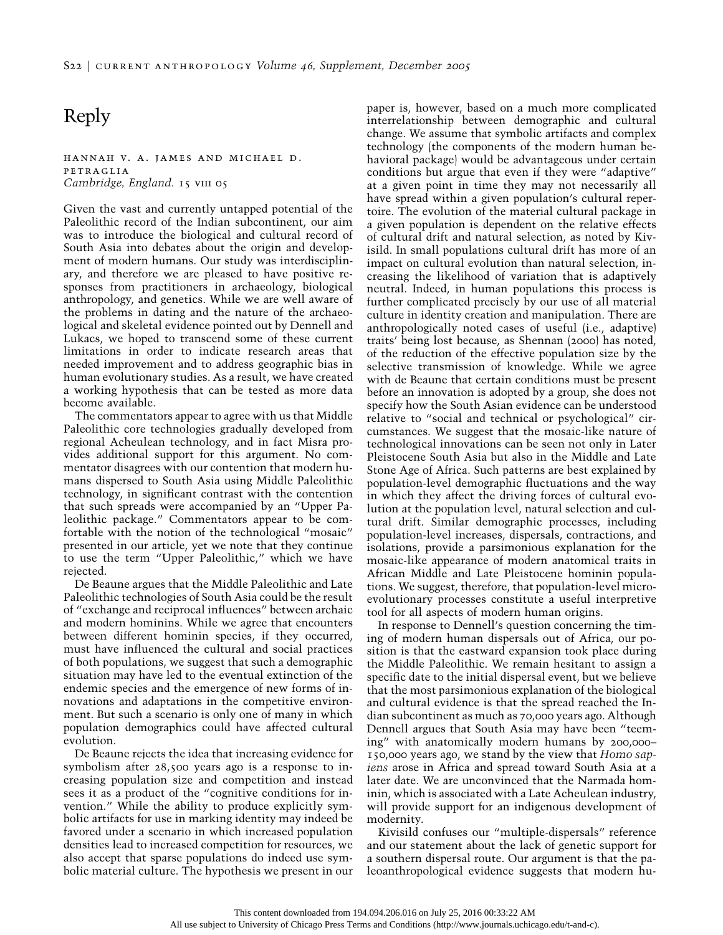# Reply

### hannah v. a. james and michael d. petraglia *Cambridge, England.* 15 vIII 05

Given the vast and currently untapped potential of the Paleolithic record of the Indian subcontinent, our aim was to introduce the biological and cultural record of South Asia into debates about the origin and development of modern humans. Our study was interdisciplinary, and therefore we are pleased to have positive responses from practitioners in archaeology, biological anthropology, and genetics. While we are well aware of the problems in dating and the nature of the archaeological and skeletal evidence pointed out by Dennell and Lukacs, we hoped to transcend some of these current limitations in order to indicate research areas that needed improvement and to address geographic bias in human evolutionary studies. As a result, we have created a working hypothesis that can be tested as more data become available.

The commentators appear to agree with us that Middle Paleolithic core technologies gradually developed from regional Acheulean technology, and in fact Misra provides additional support for this argument. No commentator disagrees with our contention that modern humans dispersed to South Asia using Middle Paleolithic technology, in significant contrast with the contention that such spreads were accompanied by an "Upper Paleolithic package." Commentators appear to be comfortable with the notion of the technological "mosaic" presented in our article, yet we note that they continue to use the term "Upper Paleolithic," which we have rejected.

De Beaune argues that the Middle Paleolithic and Late Paleolithic technologies of South Asia could be the result of "exchange and reciprocal influences" between archaic and modern hominins. While we agree that encounters between different hominin species, if they occurred, must have influenced the cultural and social practices of both populations, we suggest that such a demographic situation may have led to the eventual extinction of the endemic species and the emergence of new forms of innovations and adaptations in the competitive environment. But such a scenario is only one of many in which population demographics could have affected cultural evolution.

De Beaune rejects the idea that increasing evidence for symbolism after 28,500 years ago is a response to increasing population size and competition and instead sees it as a product of the "cognitive conditions for invention." While the ability to produce explicitly symbolic artifacts for use in marking identity may indeed be favored under a scenario in which increased population densities lead to increased competition for resources, we also accept that sparse populations do indeed use symbolic material culture. The hypothesis we present in our paper is, however, based on a much more complicated interrelationship between demographic and cultural change. We assume that symbolic artifacts and complex technology (the components of the modern human behavioral package) would be advantageous under certain conditions but argue that even if they were "adaptive" at a given point in time they may not necessarily all have spread within a given population's cultural repertoire. The evolution of the material cultural package in a given population is dependent on the relative effects of cultural drift and natural selection, as noted by Kivisild. In small populations cultural drift has more of an impact on cultural evolution than natural selection, increasing the likelihood of variation that is adaptively neutral. Indeed, in human populations this process is further complicated precisely by our use of all material culture in identity creation and manipulation. There are anthropologically noted cases of useful (i.e., adaptive) traits' being lost because, as Shennan (2000) has noted, of the reduction of the effective population size by the selective transmission of knowledge. While we agree with de Beaune that certain conditions must be present before an innovation is adopted by a group, she does not specify how the South Asian evidence can be understood relative to "social and technical or psychological" circumstances. We suggest that the mosaic-like nature of technological innovations can be seen not only in Later Pleistocene South Asia but also in the Middle and Late Stone Age of Africa. Such patterns are best explained by population-level demographic fluctuations and the way in which they affect the driving forces of cultural evolution at the population level, natural selection and cultural drift. Similar demographic processes, including population-level increases, dispersals, contractions, and isolations, provide a parsimonious explanation for the mosaic-like appearance of modern anatomical traits in African Middle and Late Pleistocene hominin populations. We suggest, therefore, that population-level microevolutionary processes constitute a useful interpretive tool for all aspects of modern human origins.

In response to Dennell's question concerning the timing of modern human dispersals out of Africa, our position is that the eastward expansion took place during the Middle Paleolithic. We remain hesitant to assign a specific date to the initial dispersal event, but we believe that the most parsimonious explanation of the biological and cultural evidence is that the spread reached the Indian subcontinent as much as 70,000 years ago. Although Dennell argues that South Asia may have been "teeming" with anatomically modern humans by 200,000– 150,000 years ago, we stand by the view that *Homo sapiens* arose in Africa and spread toward South Asia at a later date. We are unconvinced that the Narmada hominin, which is associated with a Late Acheulean industry, will provide support for an indigenous development of modernity.

Kivisild confuses our "multiple-dispersals" reference and our statement about the lack of genetic support for a southern dispersal route. Our argument is that the paleoanthropological evidence suggests that modern hu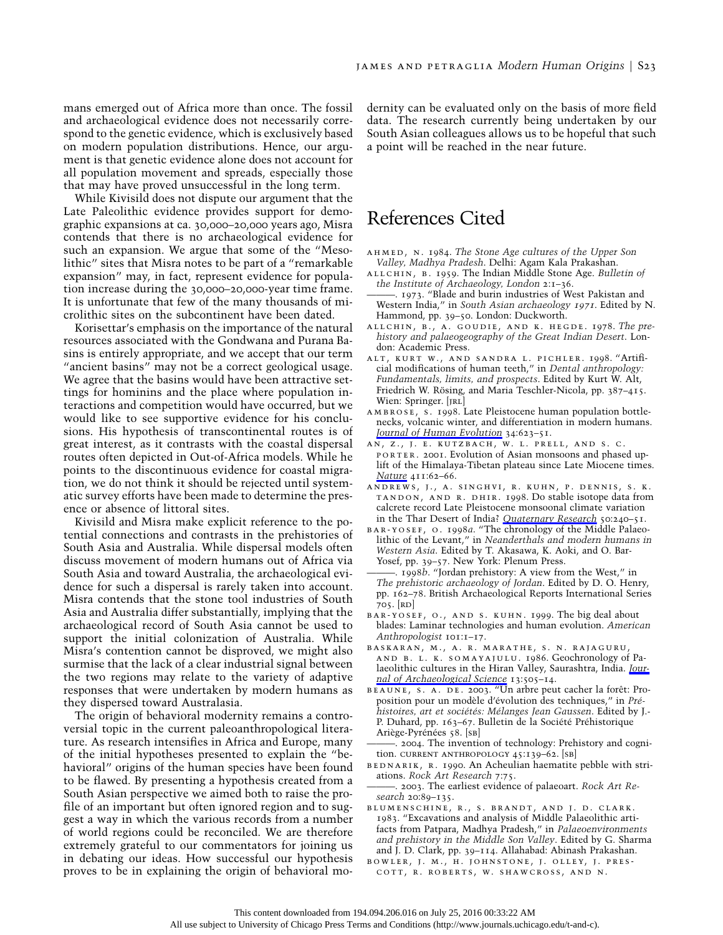mans emerged out of Africa more than once. The fossil and archaeological evidence does not necessarily correspond to the genetic evidence, which is exclusively based on modern population distributions. Hence, our argument is that genetic evidence alone does not account for all population movement and spreads, especially those that may have proved unsuccessful in the long term.

While Kivisild does not dispute our argument that the Late Paleolithic evidence provides support for demographic expansions at ca. 30,000–20,000 years ago, Misra contends that there is no archaeological evidence for such an expansion. We argue that some of the "Mesolithic" sites that Misra notes to be part of a "remarkable expansion" may, in fact, represent evidence for population increase during the 30,000–20,000-year time frame. It is unfortunate that few of the many thousands of microlithic sites on the subcontinent have been dated.

Korisettar's emphasis on the importance of the natural resources associated with the Gondwana and Purana Basins is entirely appropriate, and we accept that our term "ancient basins" may not be a correct geological usage. We agree that the basins would have been attractive settings for hominins and the place where population interactions and competition would have occurred, but we would like to see supportive evidence for his conclusions. His hypothesis of transcontinental routes is of great interest, as it contrasts with the coastal dispersal routes often depicted in Out-of-Africa models. While he points to the discontinuous evidence for coastal migration, we do not think it should be rejected until systematic survey efforts have been made to determine the presence or absence of littoral sites.

Kivisild and Misra make explicit reference to the potential connections and contrasts in the prehistories of South Asia and Australia. While dispersal models often discuss movement of modern humans out of Africa via South Asia and toward Australia, the archaeological evidence for such a dispersal is rarely taken into account. Misra contends that the stone tool industries of South Asia and Australia differ substantially, implying that the archaeological record of South Asia cannot be used to support the initial colonization of Australia. While Misra's contention cannot be disproved, we might also surmise that the lack of a clear industrial signal between the two regions may relate to the variety of adaptive responses that were undertaken by modern humans as they dispersed toward Australasia.

The origin of behavioral modernity remains a controversial topic in the current paleoanthropological literature. As research intensifies in Africa and Europe, many of the initial hypotheses presented to explain the "behavioral" origins of the human species have been found to be flawed. By presenting a hypothesis created from a South Asian perspective we aimed both to raise the profile of an important but often ignored region and to suggest a way in which the various records from a number of world regions could be reconciled. We are therefore extremely grateful to our commentators for joining us in debating our ideas. How successful our hypothesis proves to be in explaining the origin of behavioral modernity can be evaluated only on the basis of more field data. The research currently being undertaken by our South Asian colleagues allows us to be hopeful that such a point will be reached in the near future.

# References Cited

- ahmed, n. 1984. *The Stone Age cultures of the Upper Son Valley, Madhya Pradesh*. Delhi: Agam Kala Prakashan.
- allchin, b. 1959. The Indian Middle Stone Age. *Bulletin of the Institute of Archaeology, London* 2:1–36.
- ———. 1973. "Blade and burin industries of West Pakistan and Western India," in *South Asian archaeology* 1971. Edited by N. Hammond, pp. 39–50. London: Duckworth.
- allchin, b., a. goudie, and k. hegde. 1978. *The prehistory and palaeogeography of the Great Indian Desert*. London: Academic Press.
- alt, kurt w., and sandra l. pichler. 1998. "Artificial modifications of human teeth," in *Dental anthropology: Fundamentals, limits, and prospects*. Edited by Kurt W. Alt, Friedrich W. Rösing, and Maria Teschler-Nicola, pp. 387-415. Wien: Springer. [JRL]
- ambrose, s. 1998. Late Pleistocene human population bottlenecks, volcanic winter, and differentiation in modern humans. *[Journal of Human Evolution](http://www.journals.uchicago.edu/action/showLinks?crossref=10.1006%2Fjhev.1998.0219)* 34:623–51.
- an, z., j. e. kutzbach, w. l. prell, and s. c. porter. 2001. Evolution of Asian monsoons and phased uplift of the Himalaya-Tibetan plateau since Late Miocene times. *[Nature](http://www.journals.uchicago.edu/action/showLinks?crossref=10.1038%2F35075035)* 411:62–66.
- andrews, j., a. singhvi, r. kuhn, p. dennis, s. k. tandon, and r. dhir. 1998. Do stable isotope data from calcrete record Late Pleistocene monsoonal climate variation in the Thar Desert of India? *[Quaternary Research](http://www.journals.uchicago.edu/action/showLinks?crossref=10.1006%2Fqres.1998.2002)* 50:240–51.
- bar-yosef, o. 1998*a*. "The chronology of the Middle Palaeolithic of the Levant," in *Neanderthals and modern humans in Western Asia*. Edited by T. Akasawa, K. Aoki, and O. Bar-Yosef, pp. 39–57. New York: Plenum Press.
- ———. 1998*b*. "Jordan prehistory: A view from the West," in *The prehistoric archaeology of Jordan*. Edited by D. O. Henry, pp. 162–78. British Archaeological Reports International Series 705. [rd]
- bar-yosef, o., and s. kuhn. 1999. The big deal about blades: Laminar technologies and human evolution. *American Anthropologist* 101:1–17.
- baskaran, m., a. r. marathe, s. n. rajaguru, and b. l. k. somayajulu. 1986. Geochronology of Palaeolithic cultures in the Hiran Valley, Saurashtra, India. *[Jour](http://www.journals.uchicago.edu/action/showLinks?crossref=10.1016%2F0305-4403%2886%2990037-3)[nal of Archaeological Science](http://www.journals.uchicago.edu/action/showLinks?crossref=10.1016%2F0305-4403%2886%2990037-3)* 13:505–14.
- BEAUNE, S. A. DE. 2003. "Un arbre peut cacher la forêt: Proposition pour un modèle d'évolution des techniques," in Pré*histoires, art et socie´te´s: Me´langes Jean Gaussen*. Edited by J.- P. Duhard, pp. 163-67. Bulletin de la Société Préhistorique Ariège-Pyrénées 58. [SB]
- ———. 2004. The invention of technology: Prehistory and cognition. CURRENT ANTHROPOLOGY 45:139-62. [SB]
- BEDNARIK, R. 1990. An Acheulian haematite pebble with striations. *Rock Art Research* 7:75.
- ———. 2003. The earliest evidence of palaeoart. *Rock Art Research* 20:89–135.
- blumenschine, r., s. brandt, and j. d. clark. 1983. "Excavations and analysis of Middle Palaeolithic artifacts from Patpara, Madhya Pradesh," in *Palaeoenvironments and prehistory in the Middle Son Valley*. Edited by G. Sharma and J. D. Clark, pp. 39–114. Allahabad: Abinash Prakashan.
- bowler, j. m., h. johnstone, j. olley, j. prescott, r. roberts, w. shawcross, and n.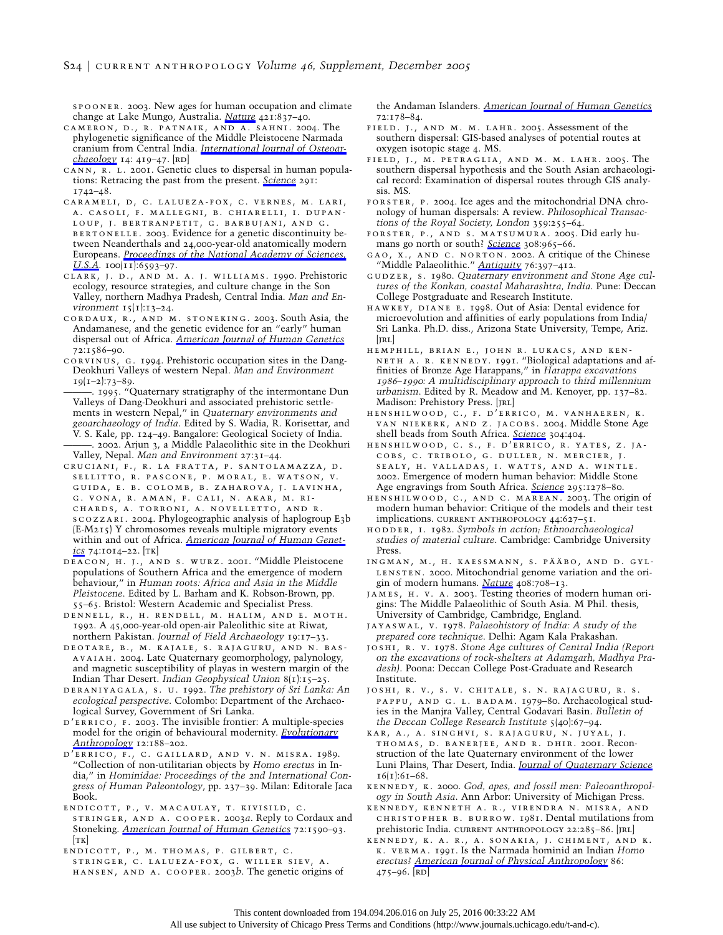spooner. 2003. New ages for human occupation and climate change at Lake Mungo, Australia. *[Nature](http://www.journals.uchicago.edu/action/showLinks?crossref=10.1038%2Fnature01383)* 421:837–40.

- cameron, d., r. patnaik, and a. sahni. 2004. The phylogenetic significance of the Middle Pleistocene Narmada cranium from Central India. *[International Journal of Osteoar](http://www.journals.uchicago.edu/action/showLinks?crossref=10.1002%2Foa.725)[chaeology](http://www.journals.uchicago.edu/action/showLinks?crossref=10.1002%2Foa.725)* 14: 419–47. [rd]
- CANN, R. L. 2001. Genetic clues to dispersal in human populations: Retracing the past from the present. *[Science](http://www.journals.uchicago.edu/action/showLinks?crossref=10.1126%2Fscience.1058948)* 291: 1742–48.
- carameli, d, c. lalueza-fox, c. vernes, m. lari, a. casoli, f. mallegni, b. chiarelli, i. dupanloup, j. bertranpetit, g. barbujani, and g. BERTONELLE. 2003. Evidence for a genetic discontinuity between Neanderthals and 24,000-year-old anatomically modern Europeans. *[Proceedings of the National Academy of Sciences,](http://www.journals.uchicago.edu/action/showLinks?crossref=10.1073%2Fpnas.1130343100) [U.S.A.](http://www.journals.uchicago.edu/action/showLinks?crossref=10.1073%2Fpnas.1130343100)* 100(11):6593-97.
- clark, j. d., and m. a. j. williams. 1990. Prehistoric ecology, resource strategies, and culture change in the Son Valley, northern Madhya Pradesh, Central India. *Man and Environment* 15(1):13–24.
- cordaux, r., and m. stoneking. 2003. South Asia, the Andamanese, and the genetic evidence for an "early" human dispersal out of Africa. *[American Journal of Human Genetics](http://www.journals.uchicago.edu/action/showLinks?crossref=10.1086%2F375407)* 72:1586–90.
- corvinus, g. 1994. Prehistoric occupation sites in the Dang-Deokhuri Valleys of western Nepal. *Man and Environment*  $19(1-2):73-89.$
- ———. 1995. "Quaternary stratigraphy of the intermontane Dun Valleys of Dang-Deokhuri and associated prehistoric settlements in western Nepal," in *Quaternary environments and geoarchaeology of India*. Edited by S. Wadia, R. Korisettar, and V. S. Kale, pp. 124–49. Bangalore: Geological Society of India. . 2002. Arjun 3, a Middle Palaeolithic site in the Deokhuri Valley, Nepal. *Man and Environment* 27:31–44.
- cruciani, f., r. la fratta, p. santolamazza, d. sellitto, r. pascone, p. moral, e. watson, v. guida, e. b. colomb, b. zaharova, j. lavinha, g. vona, r. aman, f. cali, n. akar, m. richards, a. torroni, a. novelletto, and r. scozzari. 2004. Phylogeographic analysis of haplogroup E3b (E-M215) Y chromosomes reveals multiple migratory events within and out of Africa. *[American Journal of Human Genet](http://www.journals.uchicago.edu/action/showLinks?crossref=10.1086%2F386294)[ics](http://www.journals.uchicago.edu/action/showLinks?crossref=10.1086%2F386294)* 74:1014–22. [tk]
- deacon, h. j., and s. wurz. 2001. "Middle Pleistocene populations of Southern Africa and the emergence of modern behaviour," in *Human roots: Africa and Asia in the Middle Pleistocene*. Edited by L. Barham and K. Robson-Brown, pp. 55–65. Bristol: Western Academic and Specialist Press.
- dennell, r., h. rendell, m. halim, and e. moth. 1992. A 45,000-year-old open-air Paleolithic site at Riwat, northern Pakistan. *Journal of Field Archaeology* 19:17–33.
- deotare, b., m. kajale, s. rajaguru, and n. basavaiah. 2004. Late Quaternary geomorphology, palynology, and magnetic susceptibility of playas in western margin of the Indian Thar Desert. *Indian Geophysical Union* 8(1):15–25.
- deraniyagala, s. u. 1992. *The prehistory of Sri Lanka: An ecological perspective*. Colombo: Department of the Archaeological Survey, Government of Sri Lanka.
- D'ERRICO, F. 2003. The invisible frontier: A multiple-species model for the origin of behavioural modernity. *[Evolutionary](http://www.journals.uchicago.edu/action/showLinks?crossref=10.1002%2Fevan.10113) [Anthropology](http://www.journals.uchicago.edu/action/showLinks?crossref=10.1002%2Fevan.10113)* 12:188–202.
- d'errico, f., c. gaillard, and v. n. misra. 1989. "Collection of non-utilitarian objects by *Homo erectus* in India," in *Hominidae: Proceedings of the* <sup>2</sup>*nd International Congress of Human Paleontology*, pp. 237–39. Milan: Editorale Jaca Book.
- endicott, p., v. macaulay, t. kivisild, c. stringer, and a. cooper. 2003*a*. Reply to Cordaux and Stoneking. *[American Journal of Human Genetics](http://www.journals.uchicago.edu/action/showLinks?crossref=10.1086%2F375408)* 72:1590–93.  $|TK|$
- endicott, p., m. thomas, p. gilbert, c. stringer, c. lalueza-fox, g. willer siev, a. hansen, and a. cooper. 2003*b*. The genetic origins of

the Andaman Islanders. *[American Journal of Human Genetics](http://www.journals.uchicago.edu/action/showLinks?crossref=10.1086%2F345487)* 72:178–84.

- field. j., and m. m. lahr. 2005. Assessment of the southern dispersal: GIS-based analyses of potential routes at oxygen isotopic stage 4. MS.
- field, j., m. petraglia, and m. m. lahr. 2005. The southern dispersal hypothesis and the South Asian archaeological record: Examination of dispersal routes through GIS analysis. MS.
- forster, p. 2004. Ice ages and the mitochondrial DNA chronology of human dispersals: A review. *Philosophical Transactions of the Royal Society, London* 359:255–64.
- forster, p., and s. matsumura. 2005. Did early humans go north or south? *[Science](http://www.journals.uchicago.edu/action/showLinks?crossref=10.1126%2Fscience.1113261)* 308:965–66.
- gao, x., and c. norton. 2002. A critique of the Chinese "Middle Palaeolithic." *[Antiquity](http://www.journals.uchicago.edu/action/showLinks?crossref=10.1017%2FS0003598X00090517)* 76:397–412.
- gudzer, s. 1980. *Quaternary environment and Stone Age cultures of the Konkan, coastal Maharashtra, India*. Pune: Deccan College Postgraduate and Research Institute.
- hawkey, diane e. 1998. Out of Asia: Dental evidence for microevolution and affinities of early populations from India/ Sri Lanka. Ph.D. diss., Arizona State University, Tempe, Ariz.  $|IRL|$
- hemphill, brian e., john r. lukacs, and ken-NETH A. R. KENNEDY. 1991. "Biological adaptations and affinities of Bronze Age Harappans," in *Harappa excavations* 1986*–*1990*: A multidisciplinary approach to third millennium urbanism*. Edited by R. Meadow and M. Kenoyer, pp. 137–82. Madison: Prehistory Press. [JRL]
- henshilwood, c., f. d'errico, m. vanhaeren, k. van niekerk, and z. jacobs. 2004. Middle Stone Age shell beads from South Africa. *[Science](http://www.journals.uchicago.edu/action/showLinks?crossref=10.1126%2Fscience.1095905)* 304:404.
- henshilwood, c. s., f. d'errico, r. yates, z. jacobs, c. tribolo, g. duller, n. mercier, j. sealy, h. valladas, i. watts, and a. wintle. 2002. Emergence of modern human behavior: Middle Stone Age engravings from South Africa. *[Science](http://www.journals.uchicago.edu/action/showLinks?crossref=10.1126%2Fscience.1067575)* 295:1278–80.
- henshilwood, c., and c. marean. 2003. The origin of modern human behavior: Critique of the models and their test implications. current anthropology 44:627–51.
- hodder, i. 1982. *Symbols in action; Ethnoarchaeological studies of material culture*. Cambridge: Cambridge University Press.
- $\mathtt{INGMAN},$  M., H. KAESSMANN, S. PÄÄBO, AND D. GYL-LENSTEN. 2000. Mitochondrial genome variation and the origin of modern humans. *[Nature](http://www.journals.uchicago.edu/action/showLinks?crossref=10.1038%2F35047064)* 408:708–13.
- james, h. v. a. 2003. Testing theories of modern human origins: The Middle Palaeolithic of South Asia. M Phil. thesis, University of Cambridge, Cambridge, England.
- jayaswal, v. 1978. *Palaeohistory of India: A study of the prepared core technique*. Delhi: Agam Kala Prakashan.
- joshi, r. v. 1978. *Stone Age cultures of Central India (Report on the excavations of rock-shelters at Adamgarh, Madhya Pradesh)*. Poona: Deccan College Post-Graduate and Research Institute.
- joshi, r. v., s. v. chitale, s. n. rajaguru, r. s. pappu, and g. l. badam. 1979–80. Archaeological studies in the Manjra Valley, Central Godavari Basin. *Bulletin of the Deccan College Research Institute* 5(40):67–94.
- kar, a., a. singhvi, s. rajaguru, n. juyal, j. thomas, d. banerjee, and r. dhir. 2001. Reconstruction of the late Quaternary environment of the lower Luni Plains, Thar Desert, India. *[Journal of Quaternary Science](http://www.journals.uchicago.edu/action/showLinks?crossref=10.1002%2F1099-1417%28200101%2916%3A1%3C61%3A%3AAID-JQS562%3E3.0.CO%3B2-G)*  $16(1):61-68.$
- kennedy, k. 2000. *God, apes, and fossil men: Paleoanthropology in South Asia*. Ann Arbor: University of Michigan Press.
- kennedy, kenneth a. r., virendra n. misra, and christopher b. burrow. 1981. Dental mutilations from prehistoric India. CURRENT ANTHROPOLOGY 22:285-86. [JRL]
- kennedy, k. a. r., a. sonakia, j. chiment, and k. k. verma. 1991. Is the Narmada hominid an Indian *Homo erectus? [American Journal of Physical Anthropology](http://www.journals.uchicago.edu/action/showLinks?crossref=10.1002%2Fajpa.1330860404)* 86:  $475-96.$  [RD]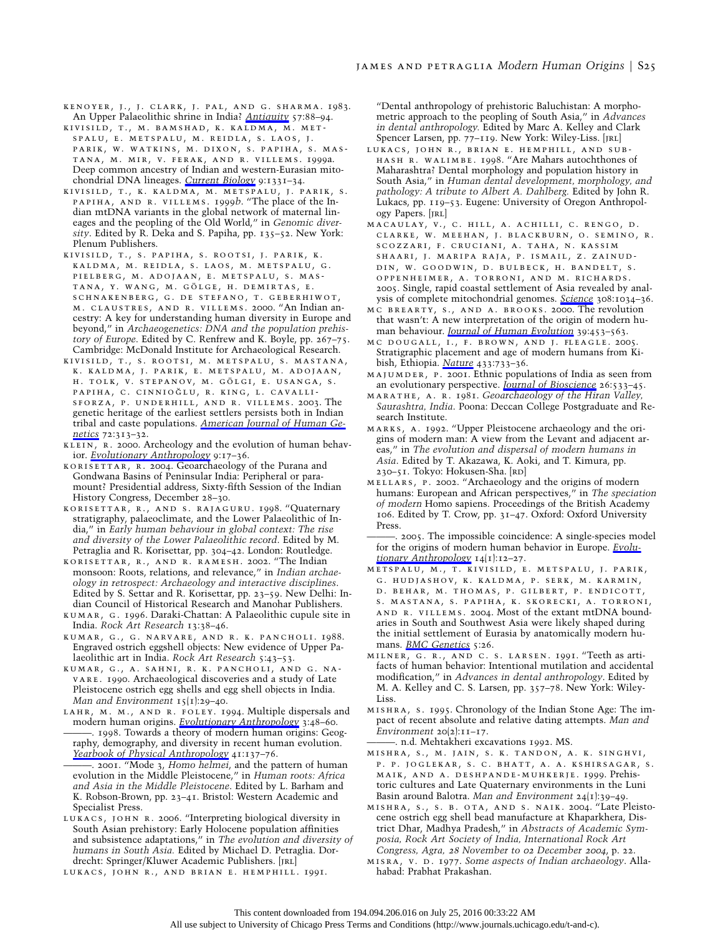kenoyer, j., j. clark, j. pal, and g. sharma. 1983. An Upper Palaeolithic shrine in India? *[Antiquity](http://www.journals.uchicago.edu/action/showLinks?crossref=10.1017%2FS0003598X00055253)* 57:88–94.

kivisild, t., m. bamshad, k. kaldma, m. metspalu, e. metspalu, m. reidla, s. laos, j. parik, w. watkins, m. dixon, s. papiha, s. mastana, m. mir, v. ferak, and r. villems. 1999a. Deep common ancestry of Indian and western-Eurasian mitochondrial DNA lineages. *[Current Biology](http://www.journals.uchicago.edu/action/showLinks?crossref=10.1016%2FS0960-9822%2800%2980057-3)* 9:1331–34.

kivisild, t., k. kaldma, m. metspalu, j. parik, s. papiha, and r. villems. 1999*b*. "The place of the Indian mtDNA variants in the global network of maternal lineages and the peopling of the Old World," in *Genomic diversity*. Edited by R. Deka and S. Papiha, pp. 135–52. New York: Plenum Publishers.

kivisild, t., s. papiha, s. rootsi, j. parik, k. kaldma, m. reidla, s. laos, m. metspalu, g. pielberg, m. adojaan, e. metspalu, s. mas-TANA, Y. WANG, M. GÖLGE, H. DEMIRTAS, E. schnakenberg, g. de stefano, t. geberhiwot, m. claustres, and r. villems. 2000. "An Indian ancestry: A key for understanding human diversity in Europe and beyond," in *Archaeogenetics: DNA and the population prehistory of Europe*. Edited by C. Renfrew and K. Boyle, pp. 267–75. Cambridge: McDonald Institute for Archaeological Research.

kivisild, t., s. rootsi, m. metspalu, s. mastana, k. kaldma, j. parik, e. metspalu, m. adojaan, H. TOLK, V. STEPANOV, M. GÖLGI, E. USANGA, S. PAPIHA, C. CINNIOĞLU, R. KING, L. CAVALLIsforza, p. underhill, and r. villems. 2003. The genetic heritage of the earliest settlers persists both in Indian tribal and caste populations. *[American Journal of Human Ge](http://www.journals.uchicago.edu/action/showLinks?crossref=10.1086%2F346068)[netics](http://www.journals.uchicago.edu/action/showLinks?crossref=10.1086%2F346068)* 72:313–32.

KLEIN, R. 2000. Archeology and the evolution of human behavior. *[Evolutionary Anthropology](http://www.journals.uchicago.edu/action/showLinks?crossref=10.1002%2F%28SICI%291520-6505%282000%299%3A1%3C17%3A%3AAID-EVAN3%3E3.0.CO%3B2-A)* 9:17–36.

korisettar, r. 2004. Geoarchaeology of the Purana and Gondwana Basins of Peninsular India: Peripheral or paramount? Presidential address, Sixty-fifth Session of the Indian History Congress, December 28–30.

korisettar, r., and s. rajaguru. 1998. "Quaternary stratigraphy, palaeoclimate, and the Lower Palaeolithic of India," in *Early human behaviour in global context: The rise and diversity of the Lower Palaeolithic record*. Edited by M. Petraglia and R. Korisettar, pp. 304–42. London: Routledge.

korisettar, r., and r. ramesh. 2002. "The Indian monsoon: Roots, relations, and relevance," in *Indian archaeology in retrospect: Archaeology and interactive disciplines*. Edited by S. Settar and R. Korisettar, pp. 23–59. New Delhi: Indian Council of Historical Research and Manohar Publishers.

kumar, g. 1996. Daraki-Chattan: A Palaeolithic cupule site in India. *Rock Art Research* 13:38–46.

kumar, g., g. narvare, and r. k. pancholi. 1988. Engraved ostrich eggshell objects: New evidence of Upper Palaeolithic art in India. *Rock Art Research* 5:43–53.

kumar, g., a. sahni, r. k. pancholi, and g. navare. 1990. Archaeological discoveries and a study of Late Pleistocene ostrich egg shells and egg shell objects in India. *Man and Environment* 15(1):29–40.

lahr, m. m., and r. foley. 1994. Multiple dispersals and modern human origins. *[Evolutionary Anthropology](http://www.journals.uchicago.edu/action/showLinks?crossref=10.1002%2Fevan.1360030206)* 3:48–60. ———. 1998. Towards a theory of modern human origins: Geography, demography, and diversity in recent human evolution. *[Yearbook of Physical Anthropology](http://www.journals.uchicago.edu/action/showLinks?crossref=10.1002%2F%28SICI%291096-8644%281998%29107%3A27%2B%3C137%3A%3AAID-AJPA6%3E3.0.CO%3B2-Q)* 41:137–76.

———. 2001. "Mode 3, *Homo helmei*, and the pattern of human evolution in the Middle Pleistocene," in *Human roots: Africa and Asia in the Middle Pleistocene*. Edited by L. Barham and K. Robson-Brown, pp. 23–41. Bristol: Western Academic and Specialist Press.

lukacs, john r. 2006. "Interpreting biological diversity in South Asian prehistory: Early Holocene population affinities and subsistence adaptations," in *The evolution and diversity of humans in South Asia.* Edited by Michael D. Petraglia. Dordrecht: Springer/Kluwer Academic Publishers. [JRL]

lukacs, john r., and brian e. hemphill. 1991.

"Dental anthropology of prehistoric Baluchistan: A morphometric approach to the peopling of South Asia," in *Advances in dental anthropology.* Edited by Marc A. Kelley and Clark Spencer Larsen, pp. 77-119. New York: Wiley-Liss. [JRL]

lukacs, john r., brian e. hemphill, and subhash r. walimbe. 1998. "Are Mahars autochthones of Maharashtra? Dental morphology and population history in South Asia," in *Human dental development, morphology, and pathology: A tribute to Albert A. Dahlberg.* Edited by John R. Lukacs, pp. 119–53. Eugene: University of Oregon Anthropology Papers. [JRL]

macaulay, v., c. hill, a. achilli, c. rengo, d. clarke, w. meehan, j. blackburn, o. semino, r. scozzari, f. cruciani, a. taha, n. kassim shaari, j. maripa raja, p. ismail, z. zainuddin, w. goodwin, d. bulbeck, h. bandelt, s. oppenheimer, a. torroni, and m. richards. 2005. Single, rapid coastal settlement of Asia revealed by analysis of complete mitochondrial genomes. *[Science](http://www.journals.uchicago.edu/action/showLinks?crossref=10.1126%2Fscience.1109792)* 308:1034–36.

mc brearty, s., and a. brooks. 2000. The revolution that wasn't: A new interpretation of the origin of modern human behaviour. *[Journal of Human Evolution](http://www.journals.uchicago.edu/action/showLinks?crossref=10.1006%2Fjhev.2000.0435)* 39:453–563.

mc dougall, i., f. brown, and j. fleagle. 2005. Stratigraphic placement and age of modern humans from Kibish, Ethiopia. *[Nature](http://www.journals.uchicago.edu/action/showLinks?crossref=10.1038%2Fnature03258)* 433:733–36.

majumder, p. 2001. Ethnic populations of India as seen from an evolutionary perspective. *[Journal of Bioscience](http://www.journals.uchicago.edu/action/showLinks?crossref=10.1007%2FBF02704750)* 26:533–45.

marathe, a. r. 1981. *Geoarchaeology of the Hiran Valley, Saurashtra, India*. Poona: Deccan College Postgraduate and Research Institute.

marks, a. 1992. "Upper Pleistocene archaeology and the origins of modern man: A view from the Levant and adjacent areas," in *The evolution and dispersal of modern humans in Asia*. Edited by T. Akazawa, K. Aoki, and T. Kimura, pp. 230-51. Tokyo: Hokusen-Sha. [RD]

mellars, p. 2002. "Archaeology and the origins of modern humans: European and African perspectives," in *The speciation of modern* Homo sapiens. Proceedings of the British Academy 106. Edited by T. Crow, pp. 31–47. Oxford: Oxford University Press.

———. 2005. The impossible coincidence: A single-species model for the origins of modern human behavior in Europe. *[Evolu](http://www.journals.uchicago.edu/action/showLinks?crossref=10.1002%2Fevan.20037)[tionary Anthropology](http://www.journals.uchicago.edu/action/showLinks?crossref=10.1002%2Fevan.20037)* 14(1):12–27.

metspalu, m., t. kivisild, e. metspalu, j. parik, g. hudjashov, k. kaldma, p. serk, m. karmin, d. behar, m. thomas, p. gilbert, p. endicott, s. mastana, s. papiha, k. skorecki, a. torroni, and r. villems. 2004. Most of the extant mtDNA boundaries in South and Southwest Asia were likely shaped during the initial settlement of Eurasia by anatomically modern humans. *[BMC Genetics](http://www.journals.uchicago.edu/action/showLinks?crossref=10.1186%2F1471-2156-5-26)* 5:26.

milner, g. r., and c. s. larsen. 1991. "Teeth as artifacts of human behavior: Intentional mutilation and accidental modification," in *Advances in dental anthropology*. Edited by M. A. Kelley and C. S. Larsen, pp. 357–78. New York: Wiley-Liss.

mishra, s. 1995. Chronology of the Indian Stone Age: The impact of recent absolute and relative dating attempts. *Man and Environment* 20(2):11–17.

———. n.d. Mehtakheri excavations 1992. MS.

mishra, s., m. jain, s. k. tandon, a. k. singhvi, p. p. joglekar, s. c. bhatt, a. a. kshirsagar, s. maik, and a. deshpande-muhkerje. 1999. Prehistoric cultures and Late Quaternary environments in the Luni Basin around Balotra. *Man and Environment* 24(1):39–49.

mishra, s., s. b. ota, and s. naik. 2004. "Late Pleistocene ostrich egg shell bead manufacture at Khaparkhera, District Dhar, Madhya Pradesh," in *Abstracts of Academic Symposia, Rock Art Society of India, International Rock Art Congress, Agra,* <sup>28</sup> *November to* <sup>02</sup> *December* <sup>2004</sup>, p. 22.

misra, v. d. 1977. *Some aspects of Indian archaeology*. Allahabad: Prabhat Prakashan.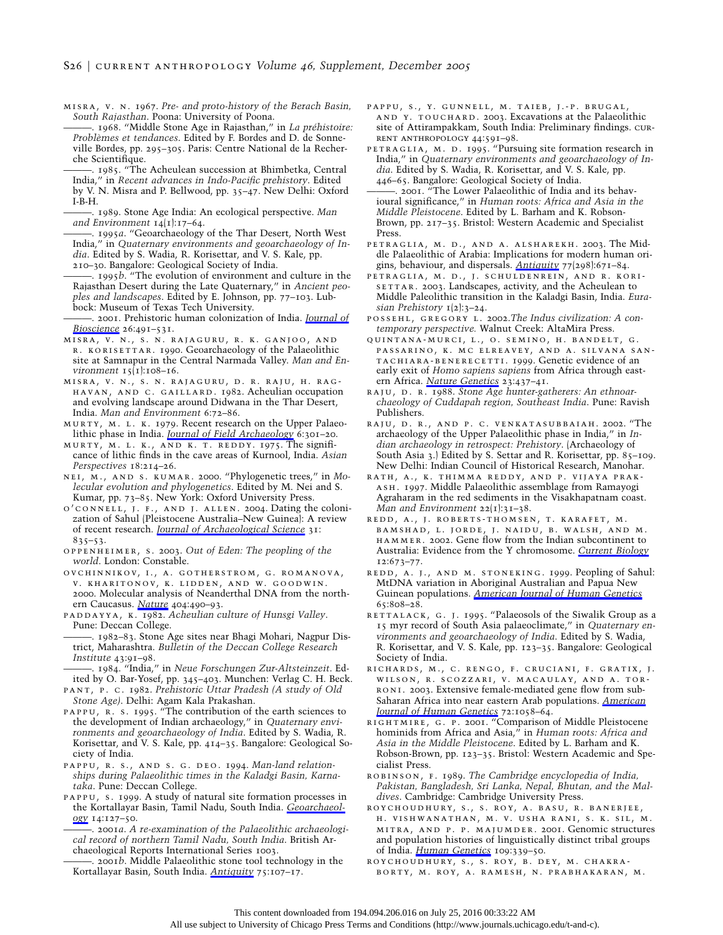- misra, v. n. 1967. *Pre- and proto-history of the Berach Basin, South Rajasthan*. Poona: University of Poona.
- . 1968. "Middle Stone Age in Rajasthan," in *La préhistoire: Proble`mes et tendances*. Edited by F. Bordes and D. de Sonneville Bordes, pp. 295–305. Paris: Centre National de la Recherche Scientifique.
- ———. 1985. "The Acheulean succession at Bhimbetka, Central India," in *Recent advances in Indo-Pacific prehistory*. Edited by V. N. Misra and P. Bellwood, pp. 35–47. New Delhi: Oxford I-B-H.
- ———. 1989. Stone Age India: An ecological perspective. *Man and Environment* 14(1):17–64.
- ———. 1995*a*. "Geoarchaeology of the Thar Desert, North West India," in *Quaternary environments and geoarchaeology of India*. Edited by S. Wadia, R. Korisettar, and V. S. Kale, pp. 210–30. Bangalore: Geological Society of India.
- ———. 1995*b*. "The evolution of environment and culture in the Rajasthan Desert during the Late Quaternary," in *Ancient peoples and landscapes*. Edited by E. Johnson, pp. 77–103. Lubbock: Museum of Texas Tech University.
- ———. 2001. Prehistoric human colonization of India. *[Journal of](http://www.journals.uchicago.edu/action/showLinks?crossref=10.1007%2FBF02704749) [Bioscience](http://www.journals.uchicago.edu/action/showLinks?crossref=10.1007%2FBF02704749)* 26:491–531.
- misra, v. n., s. n. rajaguru, r. k. ganjoo, and r. korisettar. 1990. Geoarchaeology of the Palaeolithic site at Samnapur in the Central Narmada Valley. *Man and Environment* 15(1):108–16.
- misra, v. n., s. n. rajaguru, d. r. raju, h. raghavan, and c. gaillard. 1982. Acheulian occupation and evolving landscape around Didwana in the Thar Desert, India. *Man and Environment* 6:72–86.
- MURTY, M. L. K. 1979. Recent research on the Upper Palaeolithic phase in India. *[Journal of Field Archaeology](http://www.journals.uchicago.edu/action/showLinks?crossref=10.1179%2F009346979791489221)* 6:301–20.
- murty, m. l. k., and k. t. reddy. 1975. The significance of lithic finds in the cave areas of Kurnool, India. *Asian Perspectives* 18:214–26.
- nei, m., and s. kumar. 2000. "Phylogenetic trees," in *Molecular evolution and phylogenetics*. Edited by M. Nei and S. Kumar, pp. 73–85. New York: Oxford University Press.
- o'connell, j. f., and j. allen. 2004. Dating the colonization of Sahul (Pleistocene Australia–New Guinea): A review of recent research. *[Journal of Archaeological Science](http://www.journals.uchicago.edu/action/showLinks?crossref=10.1016%2Fj.jas.2003.11.005)* 31: 835–53.
- oppenheimer, s. 2003. *Out of Eden: The peopling of the world*. London: Constable.
- ovchinnikov, i., a. gotherstrom, g. romanova, v. kharitonov, k. lidden, and w. goodwin. 2000. Molecular analysis of Neanderthal DNA from the northern Caucasus. *[Nature](http://www.journals.uchicago.edu/action/showLinks?crossref=10.1038%2F35006625)* 404:490–93.
- paddayya, k. 1982. *Acheulian culture of Hunsgi Valley*. Pune: Deccan College.
- ———. 1982–83. Stone Age sites near Bhagi Mohari, Nagpur District, Maharashtra. *Bulletin of the Deccan College Research Institute* 43:91–98.
- ———. 1984. "India," in *Neue Forschungen Zur-Altsteinzeit*. Edited by O. Bar-Yosef, pp. 345–403. Munchen: Verlag C. H. Beck.
- pant, p. c. 1982. *Prehistoric Uttar Pradesh (A study of Old Stone Age)*. Delhi: Agam Kala Prakashan.
- pappu, r. s. 1995. "The contribution of the earth sciences to the development of Indian archaeology," in *Quaternary environments and geoarchaeology of India*. Edited by S. Wadia, R. Korisettar, and V. S. Kale, pp. 414–35. Bangalore: Geological Society of India.
- pappu, r. s., and s. g. deo. 1994. *Man-land relationships during Palaeolithic times in the Kaladgi Basin, Karnataka*. Pune: Deccan College.
- pappu, s. 1999. A study of natural site formation processes in the Kortallayar Basin, Tamil Nadu, South India. *[Geoarchaeol](http://www.journals.uchicago.edu/action/showLinks?crossref=10.1002%2F%28SICI%291520-6548%28199902%2914%3A2%3C127%3A%3AAID-GEA2%3E3.0.CO%3B2-F)[ogy](http://www.journals.uchicago.edu/action/showLinks?crossref=10.1002%2F%28SICI%291520-6548%28199902%2914%3A2%3C127%3A%3AAID-GEA2%3E3.0.CO%3B2-F)* 14:127–50.
	- ———. 2001*a*. *A re-examination of the Palaeolithic archaeological record of northern Tamil Nadu, South India*. British Archaeological Reports International Series 1003.
	- ———. 2001*b*. Middle Palaeolithic stone tool technology in the Kortallayar Basin, South India. *[Antiquity](http://www.journals.uchicago.edu/action/showLinks?crossref=10.1017%2FS0003598X00052807)* 75:107–17.
- pappu, s., y. gunnell, m. taieb, j.-p. brugal, and y. touchard. 2003. Excavations at the Palaeolithic site of Attirampakkam, South India: Preliminary findings. current anthropology 44:591–98.
- PETRAGLIA, M. D. 1995. "Pursuing site formation research in India," in *Quaternary environments and geoarchaeology of India*. Edited by S. Wadia, R. Korisettar, and V. S. Kale, pp. 446–65. Bangalore: Geological Society of India.
- -. 2001. "The Lower Palaeolithic of India and its behavioural significance," in *Human roots: Africa and Asia in the Middle Pleistocene*. Edited by L. Barham and K. Robson-Brown, pp. 217–35. Bristol: Western Academic and Specialist Press.
- petraglia, m. d., and a. alsharekh. 2003. The Middle Palaeolithic of Arabia: Implications for modern human origins, behaviour, and dispersals. *[Antiquity](http://www.journals.uchicago.edu/action/showLinks?crossref=10.1017%2FS0003598X00061639)* 77(298):671–84.
- petraglia, m. d., j. schuldenrein, and r. kori-SETTAR. 2003. Landscapes, activity, and the Acheulean to Middle Paleolithic transition in the Kaladgi Basin, India. *Eurasian Prehistory* 1(2):3–24.
- possehl, gregory l. 2002.*The Indus civilization: A contemporary perspective.* Walnut Creek: AltaMira Press.
- quintana-murci, l., o. semino, h. bandelt, g. passarino, k. mc elreavey, and a. silvana santachiara-benerecetti. 1999. Genetic evidence of an early exit of *Homo sapiens sapiens* from Africa through eastern Africa. *[Nature Genetics](http://www.journals.uchicago.edu/action/showLinks?crossref=10.1038%2F70550)* 23:437–41.
- RAJU, D. R. 1988. *Stone Age hunter-gatherers: An ethnoarchaeology of Cuddapah region, Southeast India*. Pune: Ravish Publishers.
- raju, d. r., and p. c. venkatasubbaiah. 2002. "The archaeology of the Upper Palaeolithic phase in India," in *Indian archaeology in retrospect: Prehistory*. (Archaeology of South Asia 3.) Edited by S. Settar and R. Korisettar, pp. 85–109. New Delhi: Indian Council of Historical Research, Manohar.
- rath, a., k. thimma reddy, and p. vijaya prak-ASH. 1997. Middle Palaeolithic assemblage from Ramayogi Agraharam in the red sediments in the Visakhapatnam coast. *Man and Environment* 22(1):31–38.
- redd, a., j. roberts-thomsen, t. karafet, m. bamshad, l. jorde, j. naidu, b. walsh, and m. hammer. 2002. Gene flow from the Indian subcontinent to Australia: Evidence from the Y chromosome. *[Current Biology](http://www.journals.uchicago.edu/action/showLinks?crossref=10.1016%2FS0960-9822%2802%2900789-3)* 12:673–77.
- redd, a. j., and m. stoneking. 1999. Peopling of Sahul: MtDNA variation in Aboriginal Australian and Papua New Guinean populations. *[American Journal of Human Genetics](http://www.journals.uchicago.edu/action/showLinks?crossref=10.1086%2F302533)* 65:808–28.
- RETTALACK, G. J. 1995. "Palaeosols of the Siwalik Group as a 15 myr record of South Asia palaeoclimate," in *Quaternary environments and geoarchaeology of India*. Edited by S. Wadia, R. Korisettar, and V. S. Kale, pp. 123–35. Bangalore: Geological Society of India.
- richards, m., c. rengo, f. cruciani, f. gratix, j. wilson, r. scozzari, v. macaulay, and a. tor-RONI. 2003. Extensive female-mediated gene flow from sub-Saharan Africa into near eastern Arab populations. *[American](http://www.journals.uchicago.edu/action/showLinks?crossref=10.1086%2F374384) [Journal of Human Genetics](http://www.journals.uchicago.edu/action/showLinks?crossref=10.1086%2F374384)* 72:1058–64.
- rightmire, g. p. 2001. "Comparison of Middle Pleistocene hominids from Africa and Asia," in *Human roots: Africa and Asia in the Middle Pleistocene*. Edited by L. Barham and K. Robson-Brown, pp. 123–35. Bristol: Western Academic and Specialist Press.
- robinson, f. 1989. *The Cambridge encyclopedia of India, Pakistan, Bangladesh, Sri Lanka, Nepal, Bhutan, and the Maldives*. Cambridge: Cambridge University Press.
- roychoudhury, s., s. roy, a. basu, r. banerjee, h. vishwanathan, m. v. usha rani, s. k. sil, m. mitra, and p. p. majumder. 2001. Genomic structures and population histories of linguistically distinct tribal groups of India. *[Human Genetics](http://www.journals.uchicago.edu/action/showLinks?crossref=10.1007%2Fs004390100577)* 109:339–50.
- roychoudhury, s., s. roy, b. dey, m. chakraborty, m. roy, a. ramesh, n. prabhakaran, m.